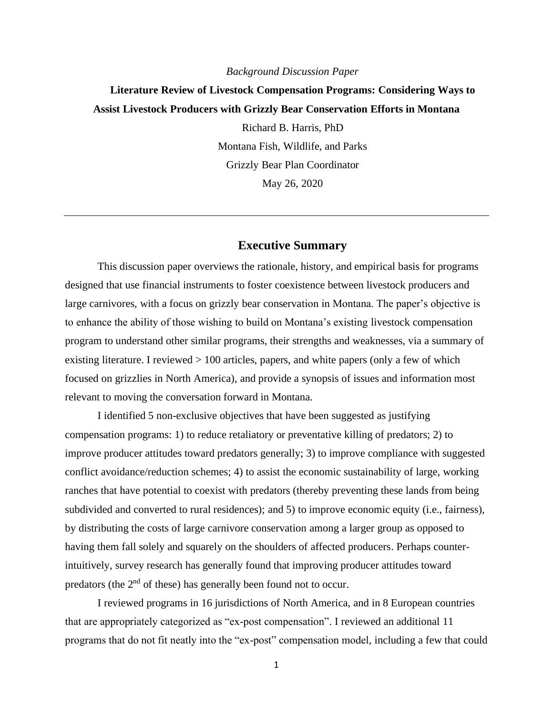#### *Background Discussion Paper*

# **Literature Review of Livestock Compensation Programs: Considering Ways to Assist Livestock Producers with Grizzly Bear Conservation Efforts in Montana**

Richard B. Harris, PhD Montana Fish, Wildlife, and Parks Grizzly Bear Plan Coordinator May 26, 2020

# **Executive Summary**

This discussion paper overviews the rationale, history, and empirical basis for programs designed that use financial instruments to foster coexistence between livestock producers and large carnivores, with a focus on grizzly bear conservation in Montana. The paper's objective is to enhance the ability of those wishing to build on Montana's existing livestock compensation program to understand other similar programs, their strengths and weaknesses, via a summary of existing literature. I reviewed  $> 100$  articles, papers, and white papers (only a few of which focused on grizzlies in North America), and provide a synopsis of issues and information most relevant to moving the conversation forward in Montana.

I identified 5 non-exclusive objectives that have been suggested as justifying compensation programs: 1) to reduce retaliatory or preventative killing of predators; 2) to improve producer attitudes toward predators generally; 3) to improve compliance with suggested conflict avoidance/reduction schemes; 4) to assist the economic sustainability of large, working ranches that have potential to coexist with predators (thereby preventing these lands from being subdivided and converted to rural residences); and 5) to improve economic equity (i.e., fairness), by distributing the costs of large carnivore conservation among a larger group as opposed to having them fall solely and squarely on the shoulders of affected producers. Perhaps counterintuitively, survey research has generally found that improving producer attitudes toward predators (the 2<sup>nd</sup> of these) has generally been found not to occur.

I reviewed programs in 16 jurisdictions of North America, and in 8 European countries that are appropriately categorized as "ex-post compensation". I reviewed an additional 11 programs that do not fit neatly into the "ex-post" compensation model, including a few that could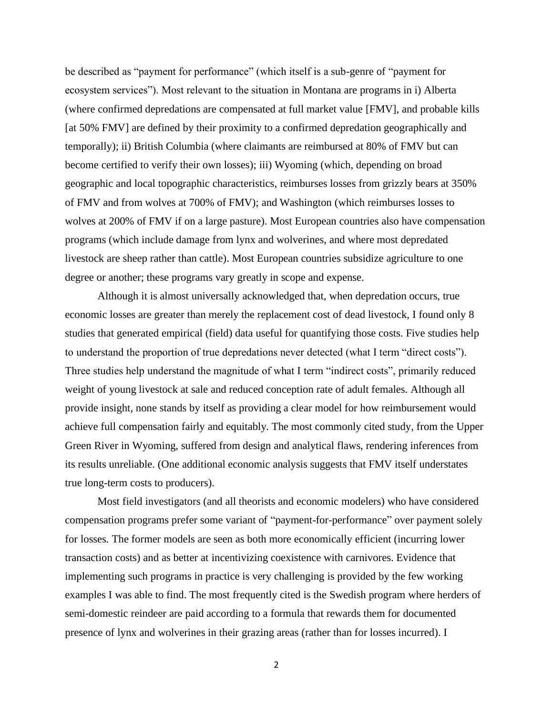be described as "payment for performance" (which itself is a sub-genre of "payment for ecosystem services"). Most relevant to the situation in Montana are programs in i) Alberta (where confirmed depredations are compensated at full market value [FMV], and probable kills [at 50% FMV] are defined by their proximity to a confirmed depredation geographically and temporally); ii) British Columbia (where claimants are reimbursed at 80% of FMV but can become certified to verify their own losses); iii) Wyoming (which, depending on broad geographic and local topographic characteristics, reimburses losses from grizzly bears at 350% of FMV and from wolves at 700% of FMV); and Washington (which reimburses losses to wolves at 200% of FMV if on a large pasture). Most European countries also have compensation programs (which include damage from lynx and wolverines, and where most depredated livestock are sheep rather than cattle). Most European countries subsidize agriculture to one degree or another; these programs vary greatly in scope and expense.

Although it is almost universally acknowledged that, when depredation occurs, true economic losses are greater than merely the replacement cost of dead livestock, I found only 8 studies that generated empirical (field) data useful for quantifying those costs. Five studies help to understand the proportion of true depredations never detected (what I term "direct costs"). Three studies help understand the magnitude of what I term "indirect costs", primarily reduced weight of young livestock at sale and reduced conception rate of adult females. Although all provide insight, none stands by itself as providing a clear model for how reimbursement would achieve full compensation fairly and equitably. The most commonly cited study, from the Upper Green River in Wyoming, suffered from design and analytical flaws, rendering inferences from its results unreliable. (One additional economic analysis suggests that FMV itself understates true long-term costs to producers).

Most field investigators (and all theorists and economic modelers) who have considered compensation programs prefer some variant of "payment-for-performance" over payment solely for losses. The former models are seen as both more economically efficient (incurring lower transaction costs) and as better at incentivizing coexistence with carnivores. Evidence that implementing such programs in practice is very challenging is provided by the few working examples I was able to find. The most frequently cited is the Swedish program where herders of semi-domestic reindeer are paid according to a formula that rewards them for documented presence of lynx and wolverines in their grazing areas (rather than for losses incurred). I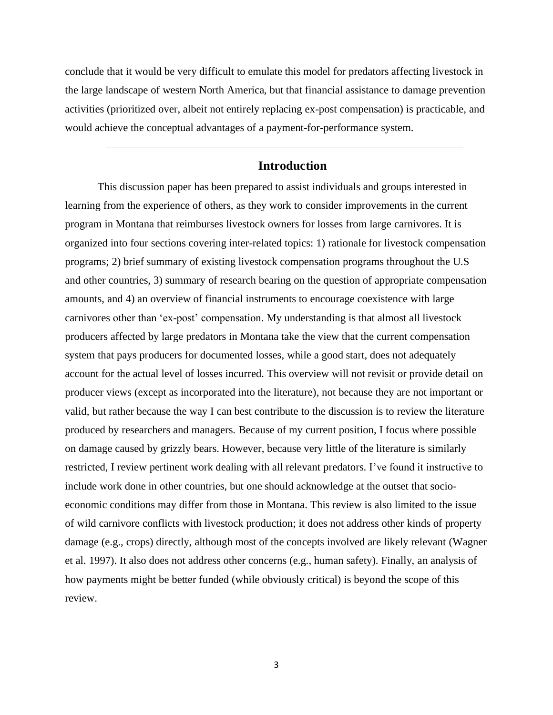conclude that it would be very difficult to emulate this model for predators affecting livestock in the large landscape of western North America, but that financial assistance to damage prevention activities (prioritized over, albeit not entirely replacing ex-post compensation) is practicable, and would achieve the conceptual advantages of a payment-for-performance system.

 $\overline{\phantom{a}}$  , and the contract of the contract of the contract of the contract of the contract of the contract of the contract of the contract of the contract of the contract of the contract of the contract of the contrac

# **Introduction**

This discussion paper has been prepared to assist individuals and groups interested in learning from the experience of others, as they work to consider improvements in the current program in Montana that reimburses livestock owners for losses from large carnivores. It is organized into four sections covering inter-related topics: 1) rationale for livestock compensation programs; 2) brief summary of existing livestock compensation programs throughout the U.S and other countries, 3) summary of research bearing on the question of appropriate compensation amounts, and 4) an overview of financial instruments to encourage coexistence with large carnivores other than 'ex-post' compensation. My understanding is that almost all livestock producers affected by large predators in Montana take the view that the current compensation system that pays producers for documented losses, while a good start, does not adequately account for the actual level of losses incurred. This overview will not revisit or provide detail on producer views (except as incorporated into the literature), not because they are not important or valid, but rather because the way I can best contribute to the discussion is to review the literature produced by researchers and managers. Because of my current position, I focus where possible on damage caused by grizzly bears. However, because very little of the literature is similarly restricted, I review pertinent work dealing with all relevant predators. I've found it instructive to include work done in other countries, but one should acknowledge at the outset that socioeconomic conditions may differ from those in Montana. This review is also limited to the issue of wild carnivore conflicts with livestock production; it does not address other kinds of property damage (e.g., crops) directly, although most of the concepts involved are likely relevant (Wagner et al. 1997). It also does not address other concerns (e.g., human safety). Finally, an analysis of how payments might be better funded (while obviously critical) is beyond the scope of this review.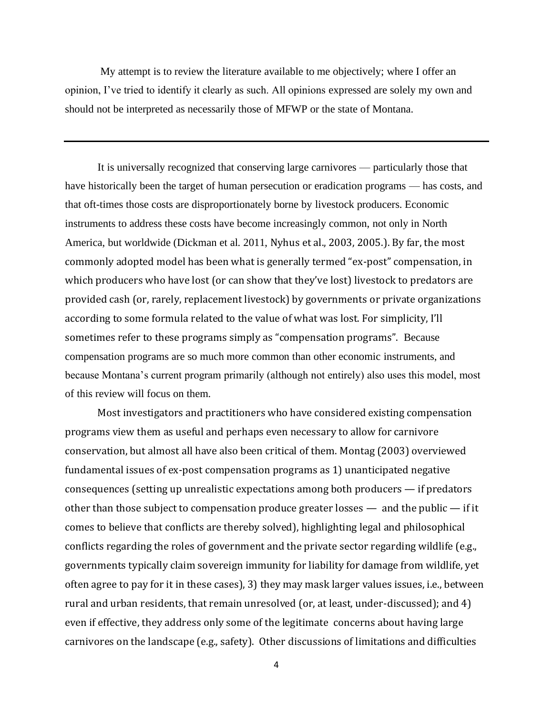My attempt is to review the literature available to me objectively; where I offer an opinion, I've tried to identify it clearly as such. All opinions expressed are solely my own and should not be interpreted as necessarily those of MFWP or the state of Montana.

It is universally recognized that conserving large carnivores — particularly those that have historically been the target of human persecution or eradication programs — has costs, and that oft-times those costs are disproportionately borne by livestock producers. Economic instruments to address these costs have become increasingly common, not only in North America, but worldwide (Dickman et al. 2011, Nyhus et al., 2003, 2005.). By far, the most commonly adopted model has been what is generally termed "ex-post" compensation, in which producers who have lost (or can show that they've lost) livestock to predators are provided cash (or, rarely, replacement livestock) by governments or private organizations according to some formula related to the value of what was lost. For simplicity, I'll sometimes refer to these programs simply as "compensation programs". Because compensation programs are so much more common than other economic instruments, and because Montana's current program primarily (although not entirely) also uses this model, most of this review will focus on them.

Most investigators and practitioners who have considered existing compensation programs view them as useful and perhaps even necessary to allow for carnivore conservation, but almost all have also been critical of them. Montag (2003) overviewed fundamental issues of ex-post compensation programs as 1) unanticipated negative consequences (setting up unrealistic expectations among both producers — if predators other than those subject to compensation produce greater losses — and the public — if it comes to believe that conflicts are thereby solved), highlighting legal and philosophical conflicts regarding the roles of government and the private sector regarding wildlife (e.g., governments typically claim sovereign immunity for liability for damage from wildlife, yet often agree to pay for it in these cases), 3) they may mask larger values issues, i.e., between rural and urban residents, that remain unresolved (or, at least, under-discussed); and 4) even if effective, they address only some of the legitimate concerns about having large carnivores on the landscape (e.g., safety). Other discussions of limitations and difficulties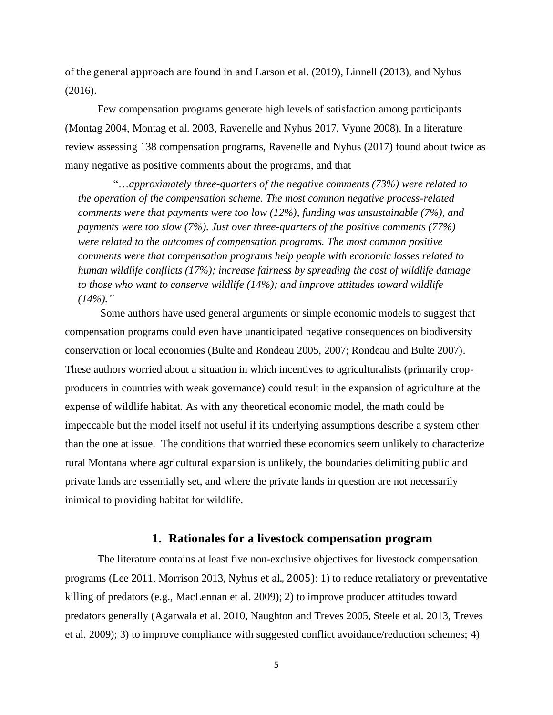of the general approach are found in and Larson et al. (2019), Linnell (2013), and Nyhus (2016).

Few compensation programs generate high levels of satisfaction among participants (Montag 2004, Montag et al. 2003, Ravenelle and Nyhus 2017, Vynne 2008). In a literature review assessing 138 compensation programs, Ravenelle and Nyhus (2017) found about twice as many negative as positive comments about the programs, and that

"…*approximately three-quarters of the negative comments (73%) were related to the operation of the compensation scheme. The most common negative process-related comments were that payments were too low (12%), funding was unsustainable (7%), and payments were too slow (7%). Just over three-quarters of the positive comments (77%) were related to the outcomes of compensation programs. The most common positive comments were that compensation programs help people with economic losses related to human wildlife conflicts (17%); increase fairness by spreading the cost of wildlife damage to those who want to conserve wildlife (14%); and improve attitudes toward wildlife (14%)."*

Some authors have used general arguments or simple economic models to suggest that compensation programs could even have unanticipated negative consequences on biodiversity conservation or local economies (Bulte and Rondeau 2005, 2007; Rondeau and Bulte 2007). These authors worried about a situation in which incentives to agriculturalists (primarily cropproducers in countries with weak governance) could result in the expansion of agriculture at the expense of wildlife habitat. As with any theoretical economic model, the math could be impeccable but the model itself not useful if its underlying assumptions describe a system other than the one at issue. The conditions that worried these economics seem unlikely to characterize rural Montana where agricultural expansion is unlikely, the boundaries delimiting public and private lands are essentially set, and where the private lands in question are not necessarily inimical to providing habitat for wildlife.

# **1. Rationales for a livestock compensation program**

The literature contains at least five non-exclusive objectives for livestock compensation programs (Lee 2011, Morrison 2013, Nyhus et al., 2005): 1) to reduce retaliatory or preventative killing of predators (e.g., MacLennan et al. 2009); 2) to improve producer attitudes toward predators generally (Agarwala et al. 2010, Naughton and Treves 2005, Steele et al. 2013, Treves et al. 2009); 3) to improve compliance with suggested conflict avoidance/reduction schemes; 4)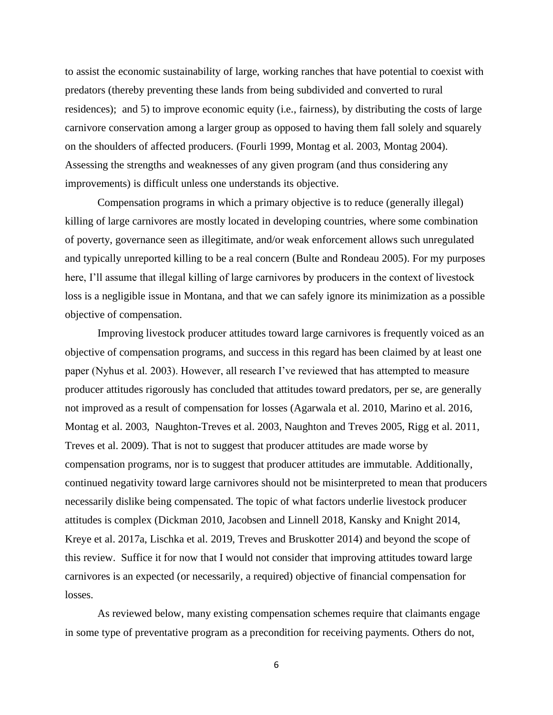to assist the economic sustainability of large, working ranches that have potential to coexist with predators (thereby preventing these lands from being subdivided and converted to rural residences); and 5) to improve economic equity (i.e., fairness), by distributing the costs of large carnivore conservation among a larger group as opposed to having them fall solely and squarely on the shoulders of affected producers. (Fourli 1999, Montag et al. 2003, Montag 2004). Assessing the strengths and weaknesses of any given program (and thus considering any improvements) is difficult unless one understands its objective.

Compensation programs in which a primary objective is to reduce (generally illegal) killing of large carnivores are mostly located in developing countries, where some combination of poverty, governance seen as illegitimate, and/or weak enforcement allows such unregulated and typically unreported killing to be a real concern (Bulte and Rondeau 2005). For my purposes here, I'll assume that illegal killing of large carnivores by producers in the context of livestock loss is a negligible issue in Montana, and that we can safely ignore its minimization as a possible objective of compensation.

Improving livestock producer attitudes toward large carnivores is frequently voiced as an objective of compensation programs, and success in this regard has been claimed by at least one paper (Nyhus et al. 2003). However, all research I've reviewed that has attempted to measure producer attitudes rigorously has concluded that attitudes toward predators, per se, are generally not improved as a result of compensation for losses (Agarwala et al. 2010, Marino et al. 2016, Montag et al. 2003, Naughton-Treves et al. 2003, Naughton and Treves 2005, Rigg et al. 2011, Treves et al. 2009). That is not to suggest that producer attitudes are made worse by compensation programs, nor is to suggest that producer attitudes are immutable. Additionally, continued negativity toward large carnivores should not be misinterpreted to mean that producers necessarily dislike being compensated. The topic of what factors underlie livestock producer attitudes is complex (Dickman 2010, Jacobsen and Linnell 2018, Kansky and Knight 2014, Kreye et al. 2017a, Lischka et al. 2019, Treves and Bruskotter 2014) and beyond the scope of this review. Suffice it for now that I would not consider that improving attitudes toward large carnivores is an expected (or necessarily, a required) objective of financial compensation for losses.

As reviewed below, many existing compensation schemes require that claimants engage in some type of preventative program as a precondition for receiving payments. Others do not,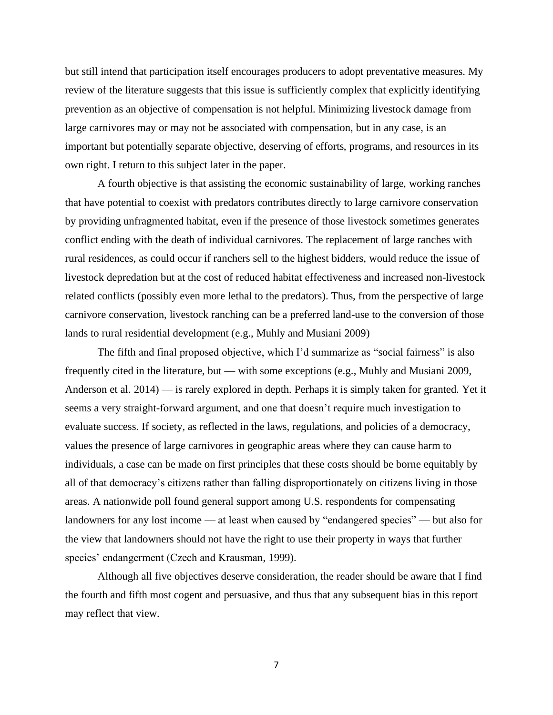but still intend that participation itself encourages producers to adopt preventative measures. My review of the literature suggests that this issue is sufficiently complex that explicitly identifying prevention as an objective of compensation is not helpful. Minimizing livestock damage from large carnivores may or may not be associated with compensation, but in any case, is an important but potentially separate objective, deserving of efforts, programs, and resources in its own right. I return to this subject later in the paper.

A fourth objective is that assisting the economic sustainability of large, working ranches that have potential to coexist with predators contributes directly to large carnivore conservation by providing unfragmented habitat, even if the presence of those livestock sometimes generates conflict ending with the death of individual carnivores. The replacement of large ranches with rural residences, as could occur if ranchers sell to the highest bidders, would reduce the issue of livestock depredation but at the cost of reduced habitat effectiveness and increased non-livestock related conflicts (possibly even more lethal to the predators). Thus, from the perspective of large carnivore conservation, livestock ranching can be a preferred land-use to the conversion of those lands to rural residential development (e.g., Muhly and Musiani 2009)

The fifth and final proposed objective, which I'd summarize as "social fairness" is also frequently cited in the literature, but — with some exceptions (e.g., Muhly and Musiani 2009, Anderson et al. 2014) — is rarely explored in depth. Perhaps it is simply taken for granted. Yet it seems a very straight-forward argument, and one that doesn't require much investigation to evaluate success. If society, as reflected in the laws, regulations, and policies of a democracy, values the presence of large carnivores in geographic areas where they can cause harm to individuals, a case can be made on first principles that these costs should be borne equitably by all of that democracy's citizens rather than falling disproportionately on citizens living in those areas. A nationwide poll found general support among U.S. respondents for compensating landowners for any lost income — at least when caused by "endangered species" — but also for the view that landowners should not have the right to use their property in ways that further species' endangerment (Czech and Krausman, 1999).

Although all five objectives deserve consideration, the reader should be aware that I find the fourth and fifth most cogent and persuasive, and thus that any subsequent bias in this report may reflect that view.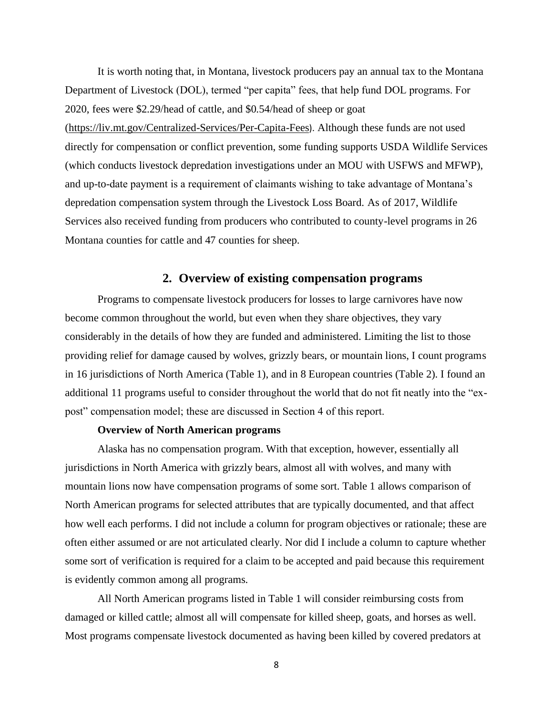It is worth noting that, in Montana, livestock producers pay an annual tax to the Montana Department of Livestock (DOL), termed "per capita" fees, that help fund DOL programs. For 2020, fees were \$2.29/head of cattle, and \$0.54/head of sheep or goat (https://liv.mt.gov/Centralized-Services/Per-Capita-Fees). Although these funds are not used directly for compensation or conflict prevention, some funding supports USDA Wildlife Services (which conducts livestock depredation investigations under an MOU with USFWS and MFWP), and up-to-date payment is a requirement of claimants wishing to take advantage of Montana's depredation compensation system through the Livestock Loss Board. As of 2017, Wildlife Services also received funding from producers who contributed to county-level programs in 26 Montana counties for cattle and 47 counties for sheep.

# **2. Overview of existing compensation programs**

Programs to compensate livestock producers for losses to large carnivores have now become common throughout the world, but even when they share objectives, they vary considerably in the details of how they are funded and administered. Limiting the list to those providing relief for damage caused by wolves, grizzly bears, or mountain lions, I count programs in 16 jurisdictions of North America (Table 1), and in 8 European countries (Table 2). I found an additional 11 programs useful to consider throughout the world that do not fit neatly into the "expost" compensation model; these are discussed in Section 4 of this report.

# **Overview of North American programs**

Alaska has no compensation program. With that exception, however, essentially all jurisdictions in North America with grizzly bears, almost all with wolves, and many with mountain lions now have compensation programs of some sort. Table 1 allows comparison of North American programs for selected attributes that are typically documented, and that affect how well each performs. I did not include a column for program objectives or rationale; these are often either assumed or are not articulated clearly. Nor did I include a column to capture whether some sort of verification is required for a claim to be accepted and paid because this requirement is evidently common among all programs.

All North American programs listed in Table 1 will consider reimbursing costs from damaged or killed cattle; almost all will compensate for killed sheep, goats, and horses as well. Most programs compensate livestock documented as having been killed by covered predators at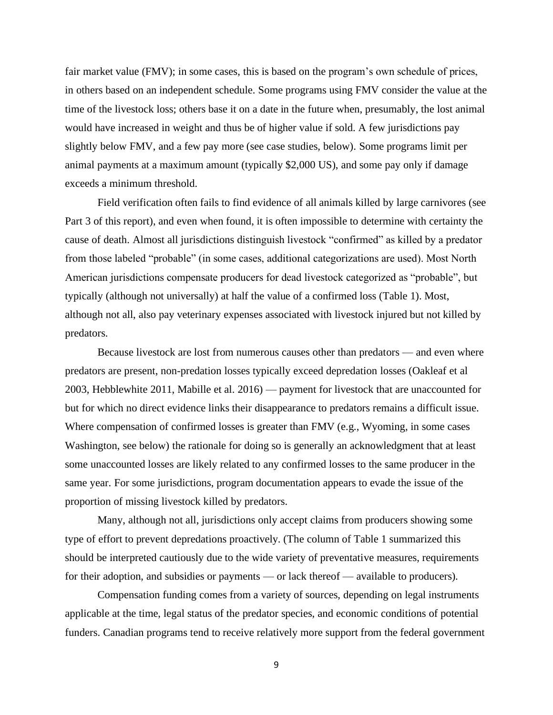fair market value (FMV); in some cases, this is based on the program's own schedule of prices, in others based on an independent schedule. Some programs using FMV consider the value at the time of the livestock loss; others base it on a date in the future when, presumably, the lost animal would have increased in weight and thus be of higher value if sold. A few jurisdictions pay slightly below FMV, and a few pay more (see case studies, below). Some programs limit per animal payments at a maximum amount (typically \$2,000 US), and some pay only if damage exceeds a minimum threshold.

Field verification often fails to find evidence of all animals killed by large carnivores (see Part 3 of this report), and even when found, it is often impossible to determine with certainty the cause of death. Almost all jurisdictions distinguish livestock "confirmed" as killed by a predator from those labeled "probable" (in some cases, additional categorizations are used). Most North American jurisdictions compensate producers for dead livestock categorized as "probable", but typically (although not universally) at half the value of a confirmed loss (Table 1). Most, although not all, also pay veterinary expenses associated with livestock injured but not killed by predators.

Because livestock are lost from numerous causes other than predators — and even where predators are present, non-predation losses typically exceed depredation losses (Oakleaf et al 2003, Hebblewhite 2011, Mabille et al. 2016) — payment for livestock that are unaccounted for but for which no direct evidence links their disappearance to predators remains a difficult issue. Where compensation of confirmed losses is greater than FMV (e.g., Wyoming, in some cases Washington, see below) the rationale for doing so is generally an acknowledgment that at least some unaccounted losses are likely related to any confirmed losses to the same producer in the same year. For some jurisdictions, program documentation appears to evade the issue of the proportion of missing livestock killed by predators.

Many, although not all, jurisdictions only accept claims from producers showing some type of effort to prevent depredations proactively. (The column of Table 1 summarized this should be interpreted cautiously due to the wide variety of preventative measures, requirements for their adoption, and subsidies or payments — or lack thereof — available to producers).

Compensation funding comes from a variety of sources, depending on legal instruments applicable at the time, legal status of the predator species, and economic conditions of potential funders. Canadian programs tend to receive relatively more support from the federal government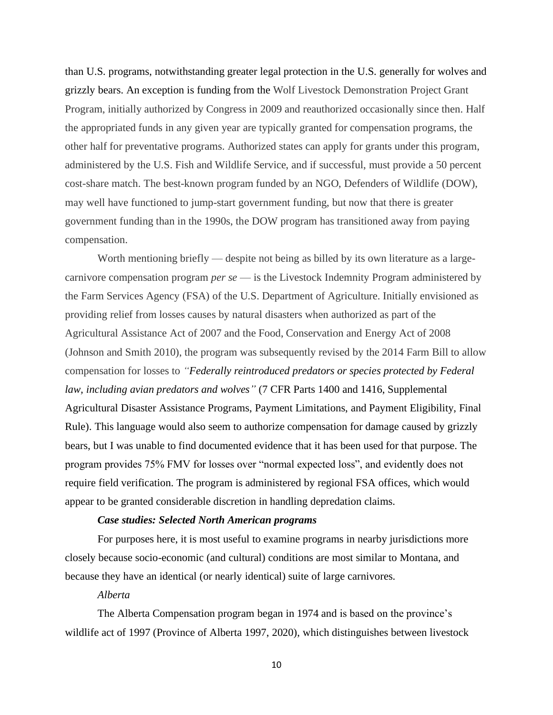than U.S. programs, notwithstanding greater legal protection in the U.S. generally for wolves and grizzly bears. An exception is funding from the Wolf Livestock Demonstration Project Grant Program, initially authorized by Congress in 2009 and reauthorized occasionally since then. Half the appropriated funds in any given year are typically granted for compensation programs, the other half for preventative programs. Authorized states can apply for grants under this program, administered by the U.S. Fish and Wildlife Service, and if successful, must provide a 50 percent cost-share match. The best-known program funded by an NGO, Defenders of Wildlife (DOW), may well have functioned to jump-start government funding, but now that there is greater government funding than in the 1990s, the DOW program has transitioned away from paying compensation.

Worth mentioning briefly — despite not being as billed by its own literature as a largecarnivore compensation program *per se* — is the Livestock Indemnity Program administered by the Farm Services Agency (FSA) of the U.S. Department of Agriculture. Initially envisioned as providing relief from losses causes by natural disasters when authorized as part of the Agricultural Assistance Act of 2007 and the Food, Conservation and Energy Act of 2008 (Johnson and Smith 2010), the program was subsequently revised by the 2014 Farm Bill to allow compensation for losses to *"Federally reintroduced predators or species protected by Federal law, including avian predators and wolves"* (7 CFR Parts 1400 and 1416, Supplemental Agricultural Disaster Assistance Programs, Payment Limitations, and Payment Eligibility, Final Rule). This language would also seem to authorize compensation for damage caused by grizzly bears, but I was unable to find documented evidence that it has been used for that purpose. The program provides 75% FMV for losses over "normal expected loss", and evidently does not require field verification. The program is administered by regional FSA offices, which would appear to be granted considerable discretion in handling depredation claims.

## *Case studies: Selected North American programs*

For purposes here, it is most useful to examine programs in nearby jurisdictions more closely because socio-economic (and cultural) conditions are most similar to Montana, and because they have an identical (or nearly identical) suite of large carnivores.

# *Alberta*

The Alberta Compensation program began in 1974 and is based on the province's wildlife act of 1997 (Province of Alberta 1997, 2020), which distinguishes between livestock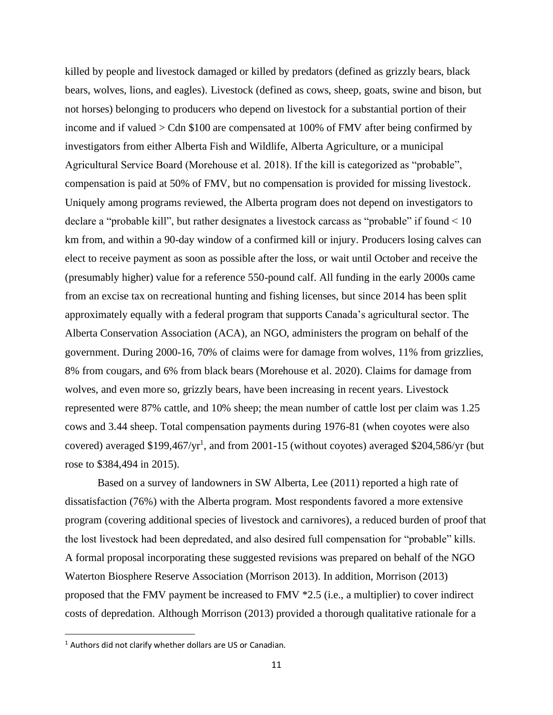killed by people and livestock damaged or killed by predators (defined as grizzly bears, black bears, wolves, lions, and eagles). Livestock (defined as cows, sheep, goats, swine and bison, but not horses) belonging to producers who depend on livestock for a substantial portion of their income and if valued > Cdn \$100 are compensated at 100% of FMV after being confirmed by investigators from either Alberta Fish and Wildlife, Alberta Agriculture, or a municipal Agricultural Service Board (Morehouse et al. 2018). If the kill is categorized as "probable", compensation is paid at 50% of FMV, but no compensation is provided for missing livestock. Uniquely among programs reviewed, the Alberta program does not depend on investigators to declare a "probable kill", but rather designates a livestock carcass as "probable" if found < 10 km from, and within a 90-day window of a confirmed kill or injury. Producers losing calves can elect to receive payment as soon as possible after the loss, or wait until October and receive the (presumably higher) value for a reference 550-pound calf. All funding in the early 2000s came from an excise tax on recreational hunting and fishing licenses, but since 2014 has been split approximately equally with a federal program that supports Canada's agricultural sector. The Alberta Conservation Association (ACA), an NGO, administers the program on behalf of the government. During 2000-16, 70% of claims were for damage from wolves, 11% from grizzlies, 8% from cougars, and 6% from black bears (Morehouse et al. 2020). Claims for damage from wolves, and even more so, grizzly bears, have been increasing in recent years. Livestock represented were 87% cattle, and 10% sheep; the mean number of cattle lost per claim was 1.25 cows and 3.44 sheep. Total compensation payments during 1976-81 (when coyotes were also covered) averaged  $$199,467/yr<sup>1</sup>$ , and from 2001-15 (without coyotes) averaged  $$204,586/yr$  (but rose to \$384,494 in 2015).

Based on a survey of landowners in SW Alberta, Lee (2011) reported a high rate of dissatisfaction (76%) with the Alberta program. Most respondents favored a more extensive program (covering additional species of livestock and carnivores), a reduced burden of proof that the lost livestock had been depredated, and also desired full compensation for "probable" kills. A formal proposal incorporating these suggested revisions was prepared on behalf of the NGO Waterton Biosphere Reserve Association (Morrison 2013). In addition, Morrison (2013) proposed that the FMV payment be increased to FMV \*2.5 (i.e., a multiplier) to cover indirect costs of depredation. Although Morrison (2013) provided a thorough qualitative rationale for a

 $1$  Authors did not clarify whether dollars are US or Canadian.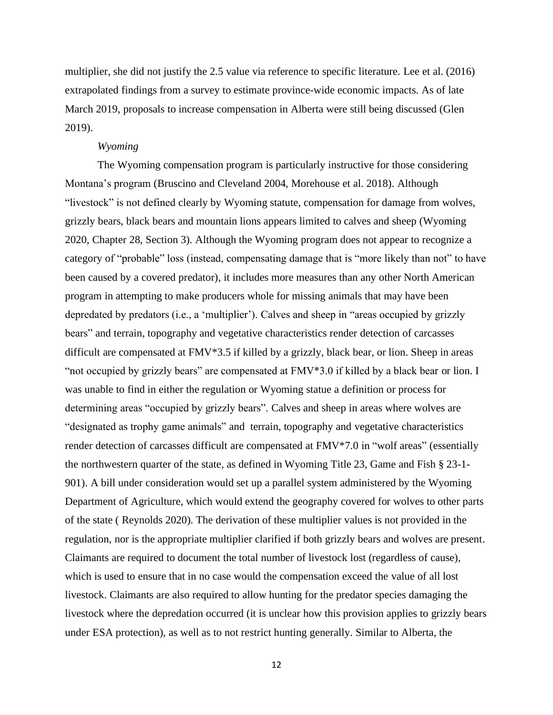multiplier, she did not justify the 2.5 value via reference to specific literature. Lee et al. (2016) extrapolated findings from a survey to estimate province-wide economic impacts. As of late March 2019, proposals to increase compensation in Alberta were still being discussed (Glen 2019).

## *Wyoming*

The Wyoming compensation program is particularly instructive for those considering Montana's program (Bruscino and Cleveland 2004, Morehouse et al. 2018). Although "livestock" is not defined clearly by Wyoming statute, compensation for damage from wolves, grizzly bears, black bears and mountain lions appears limited to calves and sheep (Wyoming 2020, Chapter 28, Section 3). Although the Wyoming program does not appear to recognize a category of "probable" loss (instead, compensating damage that is "more likely than not" to have been caused by a covered predator), it includes more measures than any other North American program in attempting to make producers whole for missing animals that may have been depredated by predators (i.e., a 'multiplier'). Calves and sheep in "areas occupied by grizzly bears" and terrain, topography and vegetative characteristics render detection of carcasses difficult are compensated at FMV\*3.5 if killed by a grizzly, black bear, or lion. Sheep in areas "not occupied by grizzly bears" are compensated at FMV\*3.0 if killed by a black bear or lion. I was unable to find in either the regulation or Wyoming statue a definition or process for determining areas "occupied by grizzly bears". Calves and sheep in areas where wolves are "designated as trophy game animals" and terrain, topography and vegetative characteristics render detection of carcasses difficult are compensated at FMV\*7.0 in "wolf areas" (essentially the northwestern quarter of the state, as defined in Wyoming Title 23, Game and Fish § 23-1- 901). A bill under consideration would set up a parallel system administered by the Wyoming Department of Agriculture, which would extend the geography covered for wolves to other parts of the state ( Reynolds 2020). The derivation of these multiplier values is not provided in the regulation, nor is the appropriate multiplier clarified if both grizzly bears and wolves are present. Claimants are required to document the total number of livestock lost (regardless of cause), which is used to ensure that in no case would the compensation exceed the value of all lost livestock. Claimants are also required to allow hunting for the predator species damaging the livestock where the depredation occurred (it is unclear how this provision applies to grizzly bears under ESA protection), as well as to not restrict hunting generally. Similar to Alberta, the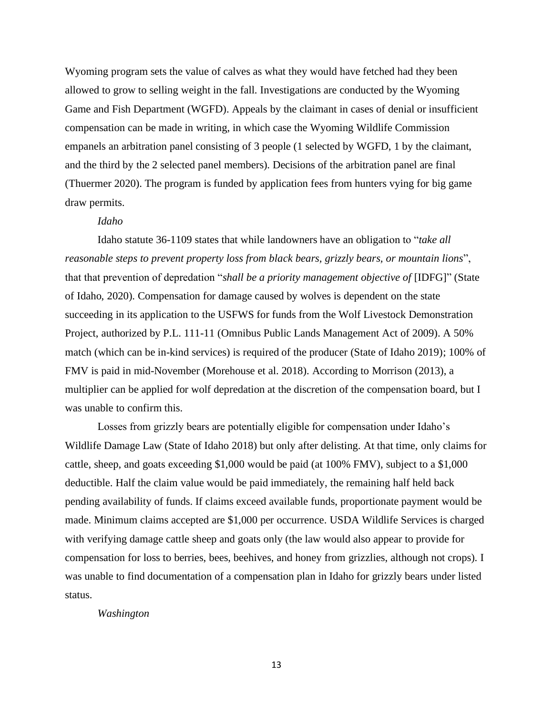Wyoming program sets the value of calves as what they would have fetched had they been allowed to grow to selling weight in the fall. Investigations are conducted by the Wyoming Game and Fish Department (WGFD). Appeals by the claimant in cases of denial or insufficient compensation can be made in writing, in which case the Wyoming Wildlife Commission empanels an arbitration panel consisting of 3 people (1 selected by WGFD, 1 by the claimant, and the third by the 2 selected panel members). Decisions of the arbitration panel are final (Thuermer 2020). The program is funded by application fees from hunters vying for big game draw permits.

# *Idaho*

Idaho statute 36-1109 states that while landowners have an obligation to "*take all reasonable steps to prevent property loss from black bears, grizzly bears, or mountain lions*", that that prevention of depredation "*shall be a priority management objective of* [IDFG]" (State of Idaho, 2020). Compensation for damage caused by wolves is dependent on the state succeeding in its application to the USFWS for funds from the Wolf Livestock Demonstration Project, authorized by P.L. 111-11 (Omnibus Public Lands Management Act of 2009). A 50% match (which can be in-kind services) is required of the producer (State of Idaho 2019); 100% of FMV is paid in mid-November (Morehouse et al. 2018). According to Morrison (2013), a multiplier can be applied for wolf depredation at the discretion of the compensation board, but I was unable to confirm this.

Losses from grizzly bears are potentially eligible for compensation under Idaho's Wildlife Damage Law (State of Idaho 2018) but only after delisting. At that time, only claims for cattle, sheep, and goats exceeding \$1,000 would be paid (at 100% FMV), subject to a \$1,000 deductible. Half the claim value would be paid immediately, the remaining half held back pending availability of funds. If claims exceed available funds, proportionate payment would be made. Minimum claims accepted are \$1,000 per occurrence. USDA Wildlife Services is charged with verifying damage cattle sheep and goats only (the law would also appear to provide for compensation for loss to berries, bees, beehives, and honey from grizzlies, although not crops). I was unable to find documentation of a compensation plan in Idaho for grizzly bears under listed status.

# *Washington*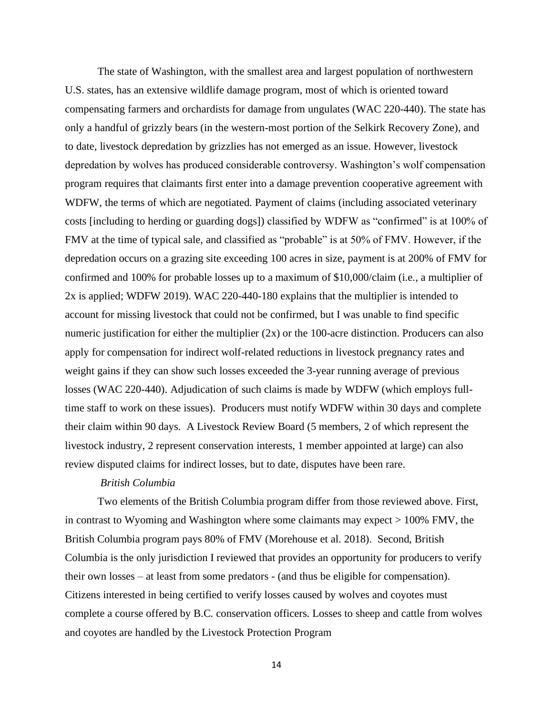The state of Washington, with the smallest area and largest population of northwestern U.S. states, has an extensive wildlife damage program, most of which is oriented toward compensating farmers and orchardists for damage from ungulates (WAC 220-440). The state has only a handful of grizzly bears (in the western-most portion of the Selkirk Recovery Zone), and to date, livestock depredation by grizzlies has not emerged as an issue. However, livestock depredation by wolves has produced considerable controversy. Washington's wolf compensation program requires that claimants first enter into a damage prevention cooperative agreement with WDFW, the terms of which are negotiated. Payment of claims (including associated veterinary costs [including to herding or guarding dogs]) classified by WDFW as "confirmed" is at 100% of FMV at the time of typical sale, and classified as "probable" is at 50% of FMV. However, if the depredation occurs on a grazing site exceeding 100 acres in size, payment is at 200% of FMV for confirmed and 100% for probable losses up to a maximum of \$10,000/claim (i.e., a multiplier of 2x is applied; WDFW 2019). WAC 220-440-180 explains that the multiplier is intended to account for missing livestock that could not be confirmed, but I was unable to find specific numeric justification for either the multiplier (2x) or the 100-acre distinction. Producers can also apply for compensation for indirect wolf-related reductions in livestock pregnancy rates and weight gains if they can show such losses exceeded the 3-year running average of previous losses (WAC 220-440). Adjudication of such claims is made by WDFW (which employs fulltime staff to work on these issues). Producers must notify WDFW within 30 days and complete their claim within 90 days. A Livestock Review Board (5 members, 2 of which represent the livestock industry, 2 represent conservation interests, 1 member appointed at large) can also review disputed claims for indirect losses, but to date, disputes have been rare.

# *British Columbia*

Two elements of the British Columbia program differ from those reviewed above. First, in contrast to Wyoming and Washington where some claimants may expect > 100% FMV, the British Columbia program pays 80% of FMV (Morehouse et al. 2018). Second, British Columbia is the only jurisdiction I reviewed that provides an opportunity for producers to verify their own losses – at least from some predators - (and thus be eligible for compensation). Citizens interested in being certified to verify losses caused by wolves and coyotes must complete a course offered by B.C. conservation officers. Losses to sheep and cattle from wolves and coyotes are handled by the Livestock Protection Program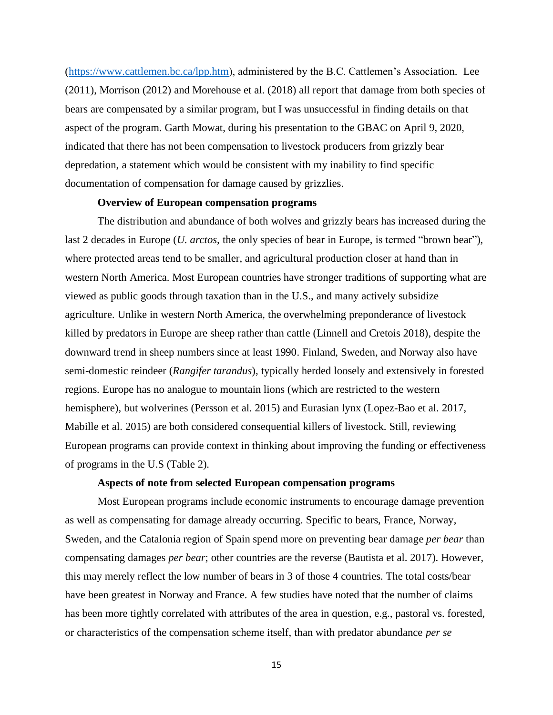[\(https://www.cattlemen.bc.ca/lpp.htm\)](https://www.cattlemen.bc.ca/lpp.htm), administered by the B.C. Cattlemen's Association. Lee (2011), Morrison (2012) and Morehouse et al. (2018) all report that damage from both species of bears are compensated by a similar program, but I was unsuccessful in finding details on that aspect of the program. Garth Mowat, during his presentation to the GBAC on April 9, 2020, indicated that there has not been compensation to livestock producers from grizzly bear depredation, a statement which would be consistent with my inability to find specific documentation of compensation for damage caused by grizzlies.

#### **Overview of European compensation programs**

The distribution and abundance of both wolves and grizzly bears has increased during the last 2 decades in Europe (*U. arctos,* the only species of bear in Europe, is termed "brown bear"), where protected areas tend to be smaller, and agricultural production closer at hand than in western North America. Most European countries have stronger traditions of supporting what are viewed as public goods through taxation than in the U.S., and many actively subsidize agriculture. Unlike in western North America, the overwhelming preponderance of livestock killed by predators in Europe are sheep rather than cattle (Linnell and Cretois 2018), despite the downward trend in sheep numbers since at least 1990. Finland, Sweden, and Norway also have semi-domestic reindeer (*Rangifer tarandus*), typically herded loosely and extensively in forested regions. Europe has no analogue to mountain lions (which are restricted to the western hemisphere), but wolverines (Persson et al. 2015) and Eurasian lynx (Lopez-Bao et al. 2017, Mabille et al. 2015) are both considered consequential killers of livestock. Still, reviewing European programs can provide context in thinking about improving the funding or effectiveness of programs in the U.S (Table 2).

### **Aspects of note from selected European compensation programs**

Most European programs include economic instruments to encourage damage prevention as well as compensating for damage already occurring. Specific to bears, France, Norway, Sweden, and the Catalonia region of Spain spend more on preventing bear damage *per bear* than compensating damages *per bear*; other countries are the reverse (Bautista et al. 2017). However, this may merely reflect the low number of bears in 3 of those 4 countries. The total costs/bear have been greatest in Norway and France. A few studies have noted that the number of claims has been more tightly correlated with attributes of the area in question, e.g., pastoral vs. forested, or characteristics of the compensation scheme itself, than with predator abundance *per se*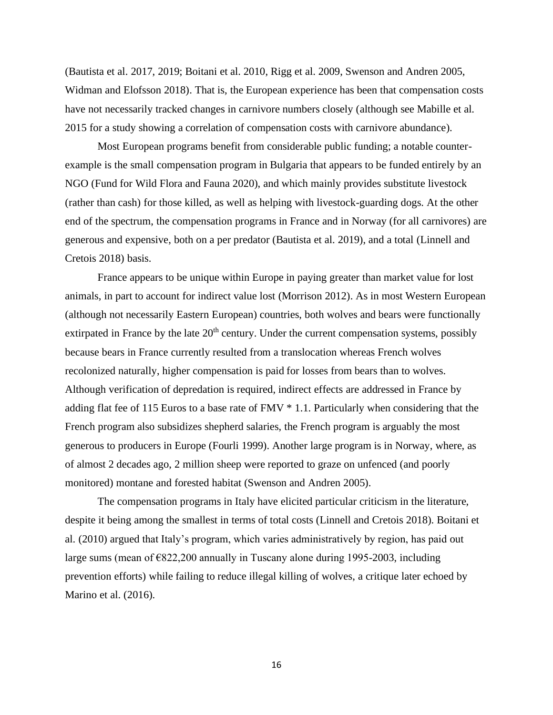(Bautista et al. 2017, 2019; Boitani et al. 2010, Rigg et al. 2009, Swenson and Andren 2005, Widman and Elofsson 2018). That is, the European experience has been that compensation costs have not necessarily tracked changes in carnivore numbers closely (although see Mabille et al. 2015 for a study showing a correlation of compensation costs with carnivore abundance).

Most European programs benefit from considerable public funding; a notable counterexample is the small compensation program in Bulgaria that appears to be funded entirely by an NGO (Fund for Wild Flora and Fauna 2020), and which mainly provides substitute livestock (rather than cash) for those killed, as well as helping with livestock-guarding dogs. At the other end of the spectrum, the compensation programs in France and in Norway (for all carnivores) are generous and expensive, both on a per predator (Bautista et al. 2019), and a total (Linnell and Cretois 2018) basis.

France appears to be unique within Europe in paying greater than market value for lost animals, in part to account for indirect value lost (Morrison 2012). As in most Western European (although not necessarily Eastern European) countries, both wolves and bears were functionally extirpated in France by the late  $20<sup>th</sup>$  century. Under the current compensation systems, possibly because bears in France currently resulted from a translocation whereas French wolves recolonized naturally, higher compensation is paid for losses from bears than to wolves. Although verification of depredation is required, indirect effects are addressed in France by adding flat fee of 115 Euros to a base rate of FMV \* 1.1. Particularly when considering that the French program also subsidizes shepherd salaries, the French program is arguably the most generous to producers in Europe (Fourli 1999). Another large program is in Norway, where, as of almost 2 decades ago, 2 million sheep were reported to graze on unfenced (and poorly monitored) montane and forested habitat (Swenson and Andren 2005).

The compensation programs in Italy have elicited particular criticism in the literature, despite it being among the smallest in terms of total costs (Linnell and Cretois 2018). Boitani et al. (2010) argued that Italy's program, which varies administratively by region, has paid out large sums (mean of €822,200 annually in Tuscany alone during 1995-2003, including prevention efforts) while failing to reduce illegal killing of wolves, a critique later echoed by Marino et al. (2016).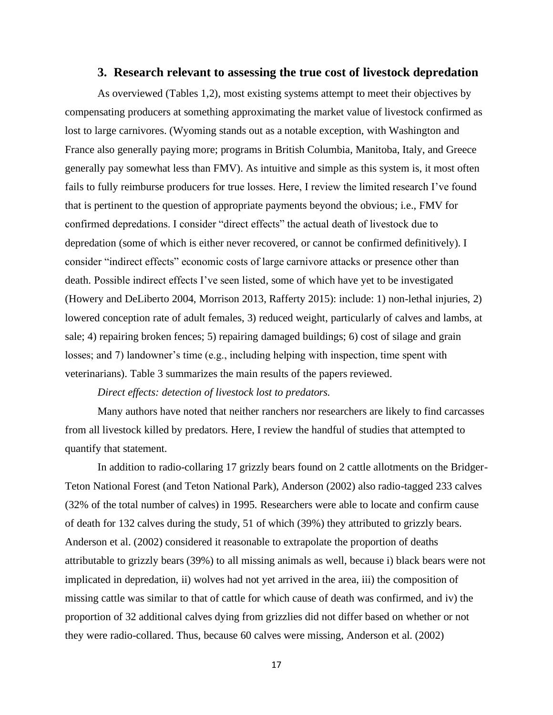# **3. Research relevant to assessing the true cost of livestock depredation**

As overviewed (Tables 1,2), most existing systems attempt to meet their objectives by compensating producers at something approximating the market value of livestock confirmed as lost to large carnivores. (Wyoming stands out as a notable exception, with Washington and France also generally paying more; programs in British Columbia, Manitoba, Italy, and Greece generally pay somewhat less than FMV). As intuitive and simple as this system is, it most often fails to fully reimburse producers for true losses. Here, I review the limited research I've found that is pertinent to the question of appropriate payments beyond the obvious; i.e., FMV for confirmed depredations. I consider "direct effects" the actual death of livestock due to depredation (some of which is either never recovered, or cannot be confirmed definitively). I consider "indirect effects" economic costs of large carnivore attacks or presence other than death. Possible indirect effects I've seen listed, some of which have yet to be investigated (Howery and DeLiberto 2004, Morrison 2013, Rafferty 2015): include: 1) non-lethal injuries, 2) lowered conception rate of adult females, 3) reduced weight, particularly of calves and lambs, at sale; 4) repairing broken fences; 5) repairing damaged buildings; 6) cost of silage and grain losses; and 7) landowner's time (e.g., including helping with inspection, time spent with veterinarians). Table 3 summarizes the main results of the papers reviewed.

# *Direct effects: detection of livestock lost to predators.*

Many authors have noted that neither ranchers nor researchers are likely to find carcasses from all livestock killed by predators. Here, I review the handful of studies that attempted to quantify that statement.

In addition to radio-collaring 17 grizzly bears found on 2 cattle allotments on the Bridger-Teton National Forest (and Teton National Park), Anderson (2002) also radio-tagged 233 calves (32% of the total number of calves) in 1995. Researchers were able to locate and confirm cause of death for 132 calves during the study, 51 of which (39%) they attributed to grizzly bears. Anderson et al. (2002) considered it reasonable to extrapolate the proportion of deaths attributable to grizzly bears (39%) to all missing animals as well, because i) black bears were not implicated in depredation, ii) wolves had not yet arrived in the area, iii) the composition of missing cattle was similar to that of cattle for which cause of death was confirmed, and iv) the proportion of 32 additional calves dying from grizzlies did not differ based on whether or not they were radio-collared. Thus, because 60 calves were missing, Anderson et al. (2002)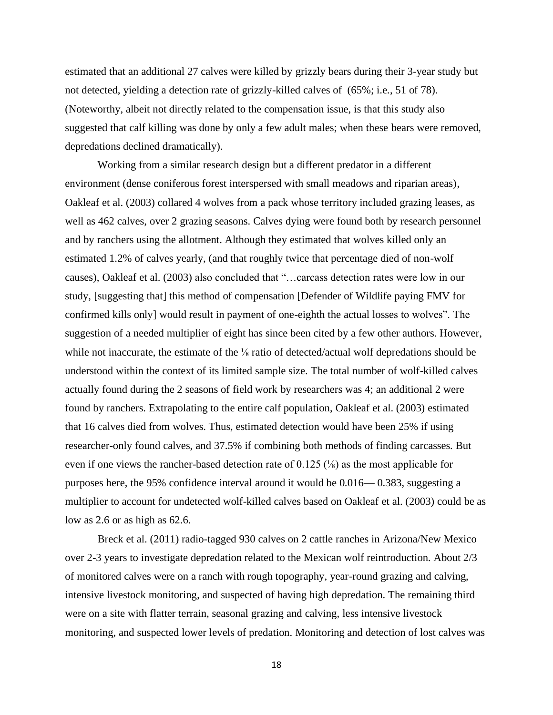estimated that an additional 27 calves were killed by grizzly bears during their 3-year study but not detected, yielding a detection rate of grizzly-killed calves of (65%; i.e., 51 of 78). (Noteworthy, albeit not directly related to the compensation issue, is that this study also suggested that calf killing was done by only a few adult males; when these bears were removed, depredations declined dramatically).

Working from a similar research design but a different predator in a different environment (dense coniferous forest interspersed with small meadows and riparian areas), Oakleaf et al. (2003) collared 4 wolves from a pack whose territory included grazing leases, as well as 462 calves, over 2 grazing seasons. Calves dying were found both by research personnel and by ranchers using the allotment. Although they estimated that wolves killed only an estimated 1.2% of calves yearly, (and that roughly twice that percentage died of non-wolf causes), Oakleaf et al. (2003) also concluded that "…carcass detection rates were low in our study, [suggesting that] this method of compensation [Defender of Wildlife paying FMV for confirmed kills only] would result in payment of one-eighth the actual losses to wolves". The suggestion of a needed multiplier of eight has since been cited by a few other authors. However, while not inaccurate, the estimate of the <sup>1</sup>/<sub>8</sub> ratio of detected/actual wolf depredations should be understood within the context of its limited sample size. The total number of wolf-killed calves actually found during the 2 seasons of field work by researchers was 4; an additional 2 were found by ranchers. Extrapolating to the entire calf population, Oakleaf et al. (2003) estimated that 16 calves died from wolves. Thus, estimated detection would have been 25% if using researcher-only found calves, and 37.5% if combining both methods of finding carcasses. But even if one views the rancher-based detection rate of 0.125  $\frac{1}{5}$  as the most applicable for purposes here, the 95% confidence interval around it would be 0.016— 0.383, suggesting a multiplier to account for undetected wolf-killed calves based on Oakleaf et al. (2003) could be as low as 2.6 or as high as 62.6.

Breck et al. (2011) radio-tagged 930 calves on 2 cattle ranches in Arizona/New Mexico over 2-3 years to investigate depredation related to the Mexican wolf reintroduction. About 2/3 of monitored calves were on a ranch with rough topography, year-round grazing and calving, intensive livestock monitoring, and suspected of having high depredation. The remaining third were on a site with flatter terrain, seasonal grazing and calving, less intensive livestock monitoring, and suspected lower levels of predation. Monitoring and detection of lost calves was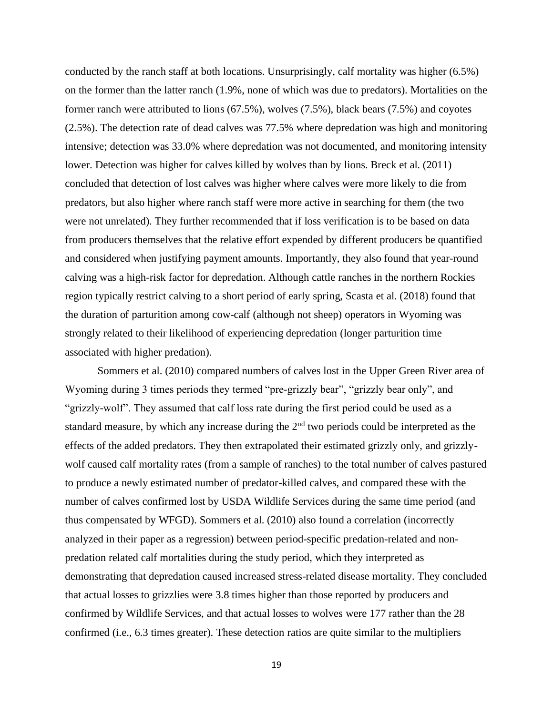conducted by the ranch staff at both locations. Unsurprisingly, calf mortality was higher (6.5%) on the former than the latter ranch (1.9%, none of which was due to predators). Mortalities on the former ranch were attributed to lions (67.5%), wolves (7.5%), black bears (7.5%) and coyotes (2.5%). The detection rate of dead calves was 77.5% where depredation was high and monitoring intensive; detection was 33.0% where depredation was not documented, and monitoring intensity lower. Detection was higher for calves killed by wolves than by lions. Breck et al. (2011) concluded that detection of lost calves was higher where calves were more likely to die from predators, but also higher where ranch staff were more active in searching for them (the two were not unrelated). They further recommended that if loss verification is to be based on data from producers themselves that the relative effort expended by different producers be quantified and considered when justifying payment amounts. Importantly, they also found that year-round calving was a high-risk factor for depredation. Although cattle ranches in the northern Rockies region typically restrict calving to a short period of early spring, Scasta et al. (2018) found that the duration of parturition among cow-calf (although not sheep) operators in Wyoming was strongly related to their likelihood of experiencing depredation (longer parturition time associated with higher predation).

Sommers et al. (2010) compared numbers of calves lost in the Upper Green River area of Wyoming during 3 times periods they termed "pre-grizzly bear", "grizzly bear only", and "grizzly-wolf". They assumed that calf loss rate during the first period could be used as a standard measure, by which any increase during the  $2<sup>nd</sup>$  two periods could be interpreted as the effects of the added predators. They then extrapolated their estimated grizzly only, and grizzlywolf caused calf mortality rates (from a sample of ranches) to the total number of calves pastured to produce a newly estimated number of predator-killed calves, and compared these with the number of calves confirmed lost by USDA Wildlife Services during the same time period (and thus compensated by WFGD). Sommers et al. (2010) also found a correlation (incorrectly analyzed in their paper as a regression) between period-specific predation-related and nonpredation related calf mortalities during the study period, which they interpreted as demonstrating that depredation caused increased stress-related disease mortality. They concluded that actual losses to grizzlies were 3.8 times higher than those reported by producers and confirmed by Wildlife Services, and that actual losses to wolves were 177 rather than the 28 confirmed (i.e., 6.3 times greater). These detection ratios are quite similar to the multipliers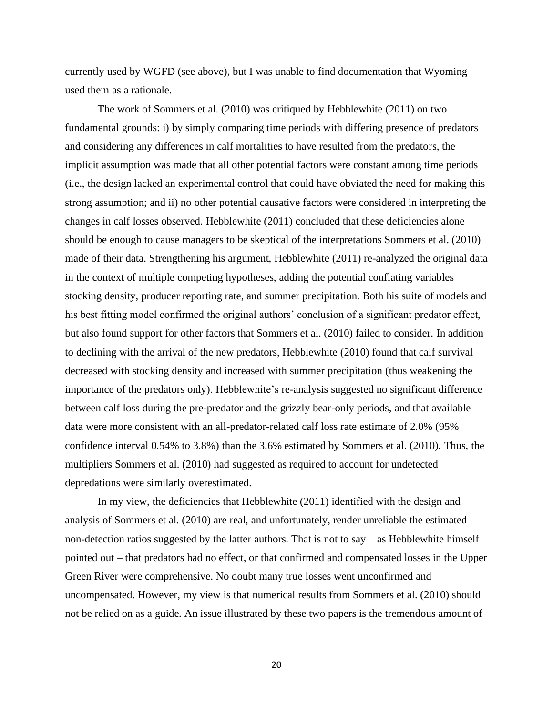currently used by WGFD (see above), but I was unable to find documentation that Wyoming used them as a rationale.

The work of Sommers et al. (2010) was critiqued by Hebblewhite (2011) on two fundamental grounds: i) by simply comparing time periods with differing presence of predators and considering any differences in calf mortalities to have resulted from the predators, the implicit assumption was made that all other potential factors were constant among time periods (i.e., the design lacked an experimental control that could have obviated the need for making this strong assumption; and ii) no other potential causative factors were considered in interpreting the changes in calf losses observed. Hebblewhite (2011) concluded that these deficiencies alone should be enough to cause managers to be skeptical of the interpretations Sommers et al. (2010) made of their data. Strengthening his argument, Hebblewhite (2011) re-analyzed the original data in the context of multiple competing hypotheses, adding the potential conflating variables stocking density, producer reporting rate, and summer precipitation. Both his suite of models and his best fitting model confirmed the original authors' conclusion of a significant predator effect, but also found support for other factors that Sommers et al. (2010) failed to consider. In addition to declining with the arrival of the new predators, Hebblewhite (2010) found that calf survival decreased with stocking density and increased with summer precipitation (thus weakening the importance of the predators only). Hebblewhite's re-analysis suggested no significant difference between calf loss during the pre-predator and the grizzly bear-only periods, and that available data were more consistent with an all-predator-related calf loss rate estimate of 2.0% (95% confidence interval 0.54% to 3.8%) than the 3.6% estimated by Sommers et al. (2010). Thus, the multipliers Sommers et al. (2010) had suggested as required to account for undetected depredations were similarly overestimated.

In my view, the deficiencies that Hebblewhite (2011) identified with the design and analysis of Sommers et al. (2010) are real, and unfortunately, render unreliable the estimated non-detection ratios suggested by the latter authors. That is not to say – as Hebblewhite himself pointed out – that predators had no effect, or that confirmed and compensated losses in the Upper Green River were comprehensive. No doubt many true losses went unconfirmed and uncompensated. However, my view is that numerical results from Sommers et al. (2010) should not be relied on as a guide. An issue illustrated by these two papers is the tremendous amount of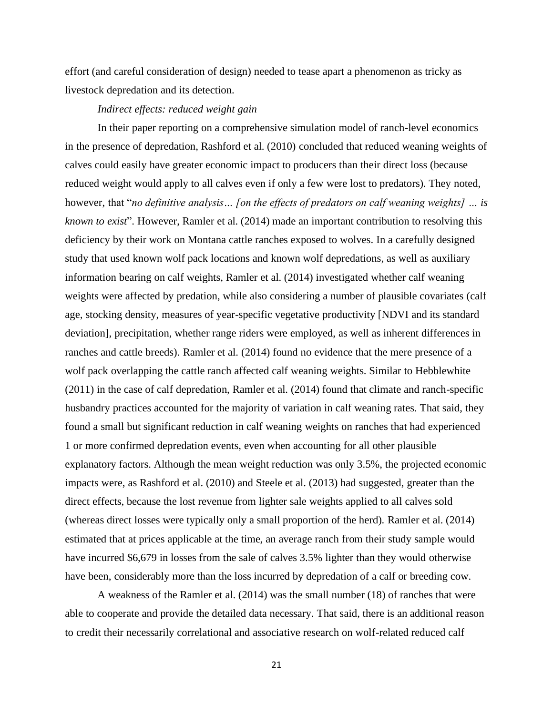effort (and careful consideration of design) needed to tease apart a phenomenon as tricky as livestock depredation and its detection.

# *Indirect effects: reduced weight gain*

In their paper reporting on a comprehensive simulation model of ranch-level economics in the presence of depredation, Rashford et al. (2010) concluded that reduced weaning weights of calves could easily have greater economic impact to producers than their direct loss (because reduced weight would apply to all calves even if only a few were lost to predators). They noted, however, that "*no definitive analysis… [on the effects of predators on calf weaning weights] … is known to exist*". However, Ramler et al. (2014) made an important contribution to resolving this deficiency by their work on Montana cattle ranches exposed to wolves. In a carefully designed study that used known wolf pack locations and known wolf depredations, as well as auxiliary information bearing on calf weights, Ramler et al. (2014) investigated whether calf weaning weights were affected by predation, while also considering a number of plausible covariates (calf age, stocking density, measures of year-specific vegetative productivity [NDVI and its standard deviation], precipitation, whether range riders were employed, as well as inherent differences in ranches and cattle breeds). Ramler et al. (2014) found no evidence that the mere presence of a wolf pack overlapping the cattle ranch affected calf weaning weights. Similar to Hebblewhite (2011) in the case of calf depredation, Ramler et al. (2014) found that climate and ranch-specific husbandry practices accounted for the majority of variation in calf weaning rates. That said, they found a small but significant reduction in calf weaning weights on ranches that had experienced 1 or more confirmed depredation events, even when accounting for all other plausible explanatory factors. Although the mean weight reduction was only 3.5%, the projected economic impacts were, as Rashford et al. (2010) and Steele et al. (2013) had suggested, greater than the direct effects, because the lost revenue from lighter sale weights applied to all calves sold (whereas direct losses were typically only a small proportion of the herd). Ramler et al. (2014) estimated that at prices applicable at the time, an average ranch from their study sample would have incurred \$6,679 in losses from the sale of calves 3.5% lighter than they would otherwise have been, considerably more than the loss incurred by depredation of a calf or breeding cow.

A weakness of the Ramler et al. (2014) was the small number (18) of ranches that were able to cooperate and provide the detailed data necessary. That said, there is an additional reason to credit their necessarily correlational and associative research on wolf-related reduced calf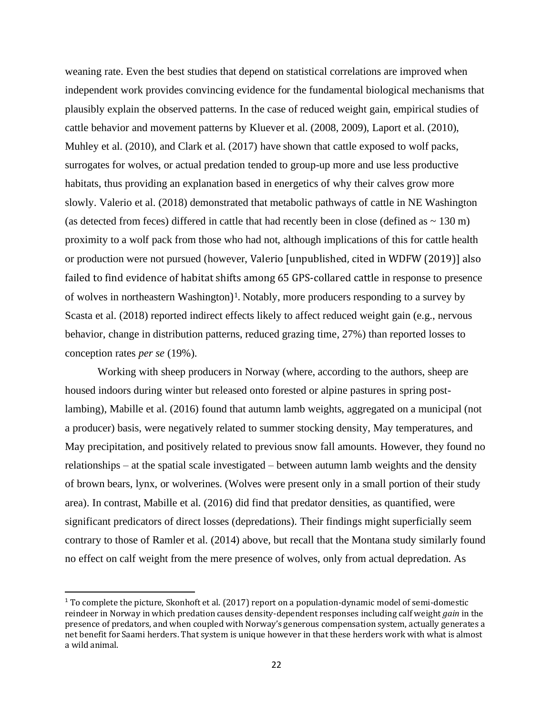weaning rate. Even the best studies that depend on statistical correlations are improved when independent work provides convincing evidence for the fundamental biological mechanisms that plausibly explain the observed patterns. In the case of reduced weight gain, empirical studies of cattle behavior and movement patterns by Kluever et al. (2008, 2009), Laport et al. (2010), Muhley et al. (2010), and Clark et al. (2017) have shown that cattle exposed to wolf packs, surrogates for wolves, or actual predation tended to group-up more and use less productive habitats, thus providing an explanation based in energetics of why their calves grow more slowly. Valerio et al. (2018) demonstrated that metabolic pathways of cattle in NE Washington (as detected from feces) differed in cattle that had recently been in close (defined as  $\sim 130$  m) proximity to a wolf pack from those who had not, although implications of this for cattle health or production were not pursued (however, Valerio [unpublished, cited in WDFW (2019)] also failed to find evidence of habitat shifts among 65 GPS-collared cattle in response to presence of wolves in northeastern Washington) <sup>1</sup>. Notably, more producers responding to a survey by Scasta et al. (2018) reported indirect effects likely to affect reduced weight gain (e.g., nervous behavior, change in distribution patterns, reduced grazing time, 27%) than reported losses to conception rates *per se* (19%).

Working with sheep producers in Norway (where, according to the authors, sheep are housed indoors during winter but released onto forested or alpine pastures in spring postlambing), Mabille et al. (2016) found that autumn lamb weights, aggregated on a municipal (not a producer) basis, were negatively related to summer stocking density, May temperatures, and May precipitation, and positively related to previous snow fall amounts. However, they found no relationships – at the spatial scale investigated – between autumn lamb weights and the density of brown bears, lynx, or wolverines. (Wolves were present only in a small portion of their study area). In contrast, Mabille et al. (2016) did find that predator densities, as quantified, were significant predicators of direct losses (depredations). Their findings might superficially seem contrary to those of Ramler et al. (2014) above, but recall that the Montana study similarly found no effect on calf weight from the mere presence of wolves, only from actual depredation. As

 $1$  To complete the picture, Skonhoft et al. (2017) report on a population-dynamic model of semi-domestic reindeer in Norway in which predation causes density-dependent responses including calf weight *gain* in the presence of predators, and when coupled with Norway's generous compensation system, actually generates a net benefit for Saami herders. That system is unique however in that these herders work with what is almost a wild animal.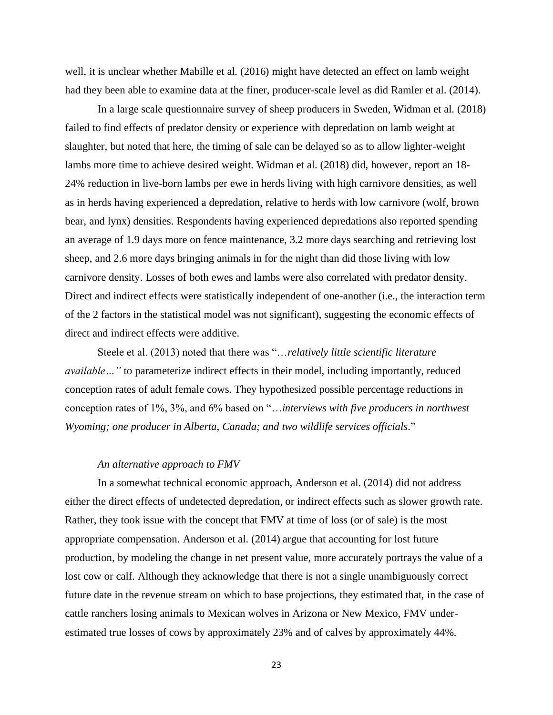well, it is unclear whether Mabille et al. (2016) might have detected an effect on lamb weight had they been able to examine data at the finer, producer-scale level as did Ramler et al. (2014).

In a large scale questionnaire survey of sheep producers in Sweden, Widman et al. (2018) failed to find effects of predator density or experience with depredation on lamb weight at slaughter, but noted that here, the timing of sale can be delayed so as to allow lighter-weight lambs more time to achieve desired weight. Widman et al. (2018) did, however, report an 18- 24% reduction in live-born lambs per ewe in herds living with high carnivore densities, as well as in herds having experienced a depredation, relative to herds with low carnivore (wolf, brown bear, and lynx) densities. Respondents having experienced depredations also reported spending an average of 1.9 days more on fence maintenance, 3.2 more days searching and retrieving lost sheep, and 2.6 more days bringing animals in for the night than did those living with low carnivore density. Losses of both ewes and lambs were also correlated with predator density. Direct and indirect effects were statistically independent of one-another (i.e., the interaction term of the 2 factors in the statistical model was not significant), suggesting the economic effects of direct and indirect effects were additive.

Steele et al. (2013) noted that there was "…*relatively little scientific literature available…"* to parameterize indirect effects in their model, including importantly, reduced conception rates of adult female cows. They hypothesized possible percentage reductions in conception rates of 1%, 3%, and 6% based on "…*interviews with five producers in northwest Wyoming; one producer in Alberta, Canada; and two wildlife services officials*."

## *An alternative approach to FMV*

In a somewhat technical economic approach, Anderson et al. (2014) did not address either the direct effects of undetected depredation, or indirect effects such as slower growth rate. Rather, they took issue with the concept that FMV at time of loss (or of sale) is the most appropriate compensation. Anderson et al. (2014) argue that accounting for lost future production, by modeling the change in net present value, more accurately portrays the value of a lost cow or calf. Although they acknowledge that there is not a single unambiguously correct future date in the revenue stream on which to base projections, they estimated that, in the case of cattle ranchers losing animals to Mexican wolves in Arizona or New Mexico, FMV underestimated true losses of cows by approximately 23% and of calves by approximately 44%.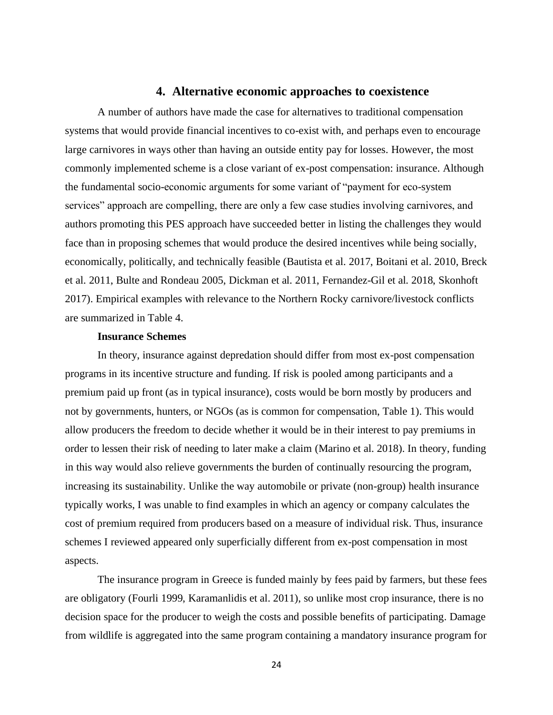# **4. Alternative economic approaches to coexistence**

A number of authors have made the case for alternatives to traditional compensation systems that would provide financial incentives to co-exist with, and perhaps even to encourage large carnivores in ways other than having an outside entity pay for losses. However, the most commonly implemented scheme is a close variant of ex-post compensation: insurance. Although the fundamental socio-economic arguments for some variant of "payment for eco-system services" approach are compelling, there are only a few case studies involving carnivores, and authors promoting this PES approach have succeeded better in listing the challenges they would face than in proposing schemes that would produce the desired incentives while being socially, economically, politically, and technically feasible (Bautista et al. 2017, Boitani et al. 2010, Breck et al. 2011, Bulte and Rondeau 2005, Dickman et al. 2011, Fernandez-Gil et al. 2018, Skonhoft 2017). Empirical examples with relevance to the Northern Rocky carnivore/livestock conflicts are summarized in Table 4.

#### **Insurance Schemes**

In theory, insurance against depredation should differ from most ex-post compensation programs in its incentive structure and funding. If risk is pooled among participants and a premium paid up front (as in typical insurance), costs would be born mostly by producers and not by governments, hunters, or NGOs (as is common for compensation, Table 1). This would allow producers the freedom to decide whether it would be in their interest to pay premiums in order to lessen their risk of needing to later make a claim (Marino et al. 2018). In theory, funding in this way would also relieve governments the burden of continually resourcing the program, increasing its sustainability. Unlike the way automobile or private (non-group) health insurance typically works, I was unable to find examples in which an agency or company calculates the cost of premium required from producers based on a measure of individual risk. Thus, insurance schemes I reviewed appeared only superficially different from ex-post compensation in most aspects.

The insurance program in Greece is funded mainly by fees paid by farmers, but these fees are obligatory (Fourli 1999, Karamanlidis et al. 2011), so unlike most crop insurance, there is no decision space for the producer to weigh the costs and possible benefits of participating. Damage from wildlife is aggregated into the same program containing a mandatory insurance program for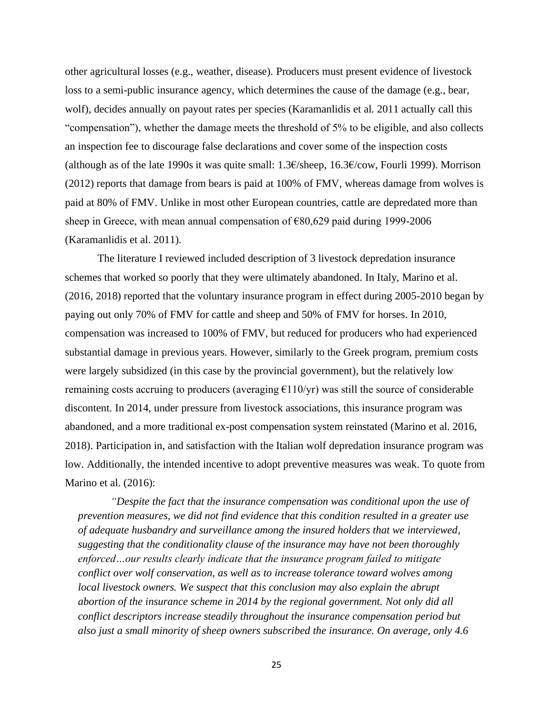other agricultural losses (e.g., weather, disease). Producers must present evidence of livestock loss to a semi-public insurance agency, which determines the cause of the damage (e.g., bear, wolf), decides annually on payout rates per species (Karamanlidis et al. 2011 actually call this "compensation"), whether the damage meets the threshold of 5% to be eligible, and also collects an inspection fee to discourage false declarations and cover some of the inspection costs (although as of the late 1990s it was quite small: 1.3€/sheep, 16.3€/cow, Fourli 1999). Morrison (2012) reports that damage from bears is paid at 100% of FMV, whereas damage from wolves is paid at 80% of FMV. Unlike in most other European countries, cattle are depredated more than sheep in Greece, with mean annual compensation of €80,629 paid during 1999-2006 (Karamanlidis et al. 2011).

The literature I reviewed included description of 3 livestock depredation insurance schemes that worked so poorly that they were ultimately abandoned. In Italy, Marino et al. (2016, 2018) reported that the voluntary insurance program in effect during 2005-2010 began by paying out only 70% of FMV for cattle and sheep and 50% of FMV for horses. In 2010, compensation was increased to 100% of FMV, but reduced for producers who had experienced substantial damage in previous years. However, similarly to the Greek program, premium costs were largely subsidized (in this case by the provincial government), but the relatively low remaining costs accruing to producers (averaging  $\epsilon$ 110/yr) was still the source of considerable discontent. In 2014, under pressure from livestock associations, this insurance program was abandoned, and a more traditional ex-post compensation system reinstated (Marino et al. 2016, 2018). Participation in, and satisfaction with the Italian wolf depredation insurance program was low. Additionally, the intended incentive to adopt preventive measures was weak. To quote from Marino et al. (2016):

*"Despite the fact that the insurance compensation was conditional upon the use of prevention measures, we did not find evidence that this condition resulted in a greater use of adequate husbandry and surveillance among the insured holders that we interviewed, suggesting that the conditionality clause of the insurance may have not been thoroughly enforced…our results clearly indicate that the insurance program failed to mitigate conflict over wolf conservation, as well as to increase tolerance toward wolves among local livestock owners. We suspect that this conclusion may also explain the abrupt abortion of the insurance scheme in 2014 by the regional government. Not only did all conflict descriptors increase steadily throughout the insurance compensation period but also just a small minority of sheep owners subscribed the insurance. On average, only 4.6*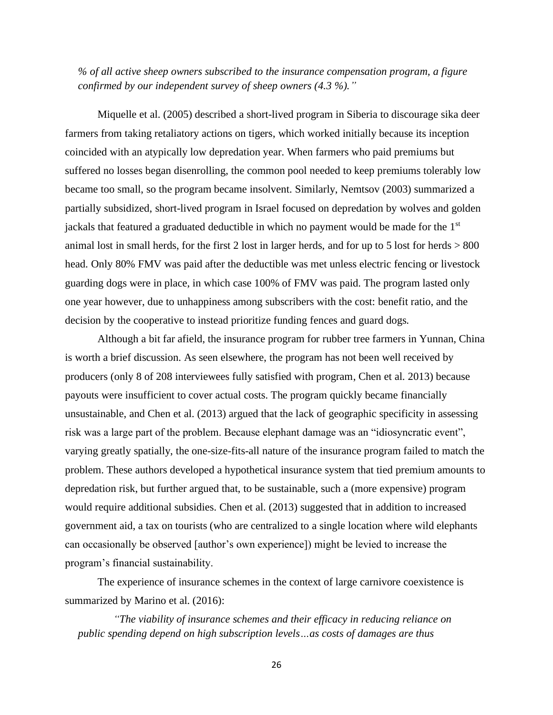*% of all active sheep owners subscribed to the insurance compensation program, a figure confirmed by our independent survey of sheep owners (4.3 %)."*

Miquelle et al. (2005) described a short-lived program in Siberia to discourage sika deer farmers from taking retaliatory actions on tigers, which worked initially because its inception coincided with an atypically low depredation year. When farmers who paid premiums but suffered no losses began disenrolling, the common pool needed to keep premiums tolerably low became too small, so the program became insolvent. Similarly, Nemtsov (2003) summarized a partially subsidized, short-lived program in Israel focused on depredation by wolves and golden jackals that featured a graduated deductible in which no payment would be made for the 1st animal lost in small herds, for the first 2 lost in larger herds, and for up to 5 lost for herds  $> 800$ head. Only 80% FMV was paid after the deductible was met unless electric fencing or livestock guarding dogs were in place, in which case 100% of FMV was paid. The program lasted only one year however, due to unhappiness among subscribers with the cost: benefit ratio, and the decision by the cooperative to instead prioritize funding fences and guard dogs.

Although a bit far afield, the insurance program for rubber tree farmers in Yunnan, China is worth a brief discussion. As seen elsewhere, the program has not been well received by producers (only 8 of 208 interviewees fully satisfied with program, Chen et al. 2013) because payouts were insufficient to cover actual costs. The program quickly became financially unsustainable, and Chen et al. (2013) argued that the lack of geographic specificity in assessing risk was a large part of the problem. Because elephant damage was an "idiosyncratic event", varying greatly spatially, the one-size-fits-all nature of the insurance program failed to match the problem. These authors developed a hypothetical insurance system that tied premium amounts to depredation risk, but further argued that, to be sustainable, such a (more expensive) program would require additional subsidies. Chen et al. (2013) suggested that in addition to increased government aid, a tax on tourists (who are centralized to a single location where wild elephants can occasionally be observed [author's own experience]) might be levied to increase the program's financial sustainability.

The experience of insurance schemes in the context of large carnivore coexistence is summarized by Marino et al. (2016):

*"The viability of insurance schemes and their efficacy in reducing reliance on public spending depend on high subscription levels…as costs of damages are thus*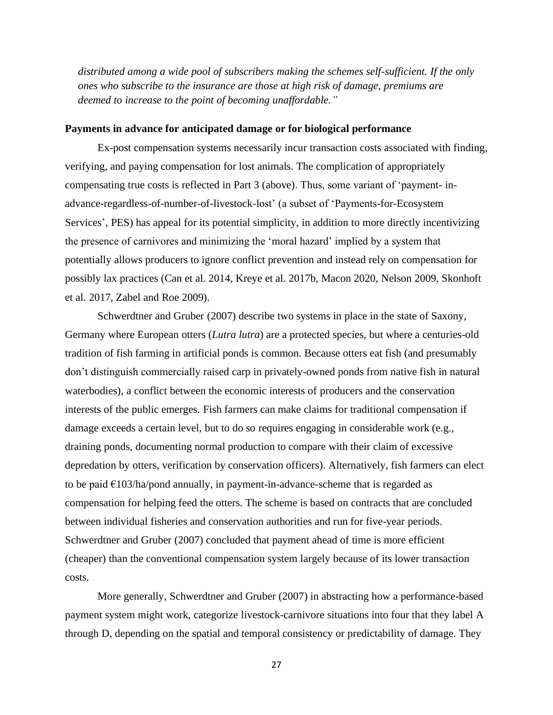*distributed among a wide pool of subscribers making the schemes self-sufficient. If the only ones who subscribe to the insurance are those at high risk of damage, premiums are deemed to increase to the point of becoming unaffordable."*

# **Payments in advance for anticipated damage or for biological performance**

Ex-post compensation systems necessarily incur transaction costs associated with finding, verifying, and paying compensation for lost animals. The complication of appropriately compensating true costs is reflected in Part 3 (above). Thus, some variant of 'payment- inadvance-regardless-of-number-of-livestock-lost' (a subset of 'Payments-for-Ecosystem Services', PES) has appeal for its potential simplicity, in addition to more directly incentivizing the presence of carnivores and minimizing the 'moral hazard' implied by a system that potentially allows producers to ignore conflict prevention and instead rely on compensation for possibly lax practices (Can et al. 2014, Kreye et al. 2017b, Macon 2020, Nelson 2009, Skonhoft et al. 2017, Zabel and Roe 2009).

Schwerdtner and Gruber (2007) describe two systems in place in the state of Saxony, Germany where European otters (*Lutra lutra*) are a protected species, but where a centuries-old tradition of fish farming in artificial ponds is common. Because otters eat fish (and presumably don't distinguish commercially raised carp in privately-owned ponds from native fish in natural waterbodies), a conflict between the economic interests of producers and the conservation interests of the public emerges. Fish farmers can make claims for traditional compensation if damage exceeds a certain level, but to do so requires engaging in considerable work (e.g., draining ponds, documenting normal production to compare with their claim of excessive depredation by otters, verification by conservation officers). Alternatively, fish farmers can elect to be paid  $\epsilon$ 103/ha/pond annually, in payment-in-advance-scheme that is regarded as compensation for helping feed the otters. The scheme is based on contracts that are concluded between individual fisheries and conservation authorities and run for five-year periods. Schwerdtner and Gruber (2007) concluded that payment ahead of time is more efficient (cheaper) than the conventional compensation system largely because of its lower transaction costs.

More generally, Schwerdtner and Gruber (2007) in abstracting how a performance-based payment system might work, categorize livestock-carnivore situations into four that they label A through D, depending on the spatial and temporal consistency or predictability of damage. They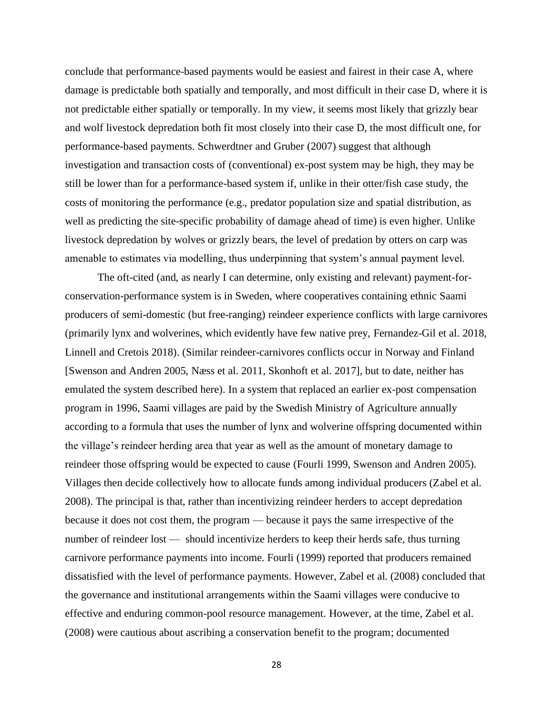conclude that performance-based payments would be easiest and fairest in their case A, where damage is predictable both spatially and temporally, and most difficult in their case D, where it is not predictable either spatially or temporally. In my view, it seems most likely that grizzly bear and wolf livestock depredation both fit most closely into their case D, the most difficult one, for performance-based payments. Schwerdtner and Gruber (2007) suggest that although investigation and transaction costs of (conventional) ex-post system may be high, they may be still be lower than for a performance-based system if, unlike in their otter/fish case study, the costs of monitoring the performance (e.g., predator population size and spatial distribution, as well as predicting the site-specific probability of damage ahead of time) is even higher. Unlike livestock depredation by wolves or grizzly bears, the level of predation by otters on carp was amenable to estimates via modelling, thus underpinning that system's annual payment level.

The oft-cited (and, as nearly I can determine, only existing and relevant) payment-forconservation-performance system is in Sweden, where cooperatives containing ethnic Saami producers of semi-domestic (but free-ranging) reindeer experience conflicts with large carnivores (primarily lynx and wolverines, which evidently have few native prey, Fernandez-Gil et al. 2018, Linnell and Cretois 2018). (Similar reindeer-carnivores conflicts occur in Norway and Finland [Swenson and Andren 2005, Næss et al. 2011, Skonhoft et al. 2017], but to date, neither has emulated the system described here). In a system that replaced an earlier ex-post compensation program in 1996, Saami villages are paid by the Swedish Ministry of Agriculture annually according to a formula that uses the number of lynx and wolverine offspring documented within the village's reindeer herding area that year as well as the amount of monetary damage to reindeer those offspring would be expected to cause (Fourli 1999, Swenson and Andren 2005). Villages then decide collectively how to allocate funds among individual producers (Zabel et al. 2008). The principal is that, rather than incentivizing reindeer herders to accept depredation because it does not cost them, the program — because it pays the same irrespective of the number of reindeer lost — should incentivize herders to keep their herds safe, thus turning carnivore performance payments into income. Fourli (1999) reported that producers remained dissatisfied with the level of performance payments. However, Zabel et al. (2008) concluded that the governance and institutional arrangements within the Saami villages were conducive to effective and enduring common-pool resource management. However, at the time, Zabel et al. (2008) were cautious about ascribing a conservation benefit to the program; documented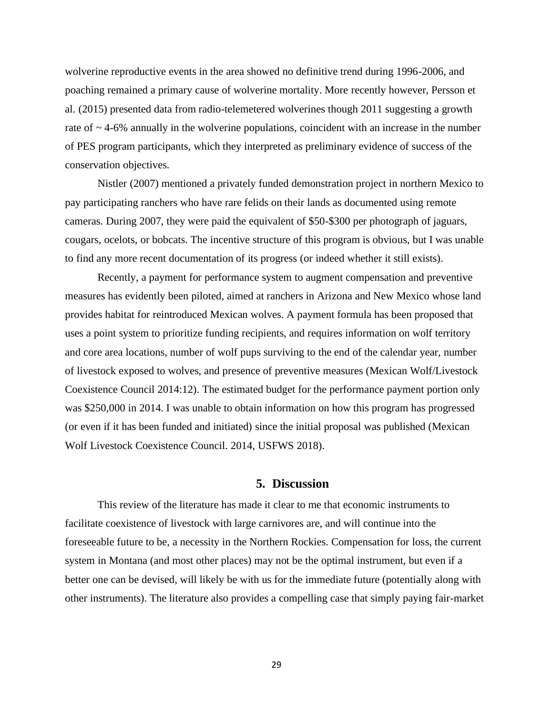wolverine reproductive events in the area showed no definitive trend during 1996-2006, and poaching remained a primary cause of wolverine mortality. More recently however, Persson et al. (2015) presented data from radio-telemetered wolverines though 2011 suggesting a growth rate of  $\sim$  4-6% annually in the wolverine populations, coincident with an increase in the number of PES program participants, which they interpreted as preliminary evidence of success of the conservation objectives.

Nistler (2007) mentioned a privately funded demonstration project in northern Mexico to pay participating ranchers who have rare felids on their lands as documented using remote cameras. During 2007, they were paid the equivalent of \$50-\$300 per photograph of jaguars, cougars, ocelots, or bobcats. The incentive structure of this program is obvious, but I was unable to find any more recent documentation of its progress (or indeed whether it still exists).

Recently, a payment for performance system to augment compensation and preventive measures has evidently been piloted, aimed at ranchers in Arizona and New Mexico whose land provides habitat for reintroduced Mexican wolves. A payment formula has been proposed that uses a point system to prioritize funding recipients, and requires information on wolf territory and core area locations, number of wolf pups surviving to the end of the calendar year, number of livestock exposed to wolves, and presence of preventive measures (Mexican Wolf/Livestock Coexistence Council 2014:12). The estimated budget for the performance payment portion only was \$250,000 in 2014. I was unable to obtain information on how this program has progressed (or even if it has been funded and initiated) since the initial proposal was published (Mexican Wolf Livestock Coexistence Council. 2014, USFWS 2018).

### **5. Discussion**

This review of the literature has made it clear to me that economic instruments to facilitate coexistence of livestock with large carnivores are, and will continue into the foreseeable future to be, a necessity in the Northern Rockies. Compensation for loss, the current system in Montana (and most other places) may not be the optimal instrument, but even if a better one can be devised, will likely be with us for the immediate future (potentially along with other instruments). The literature also provides a compelling case that simply paying fair-market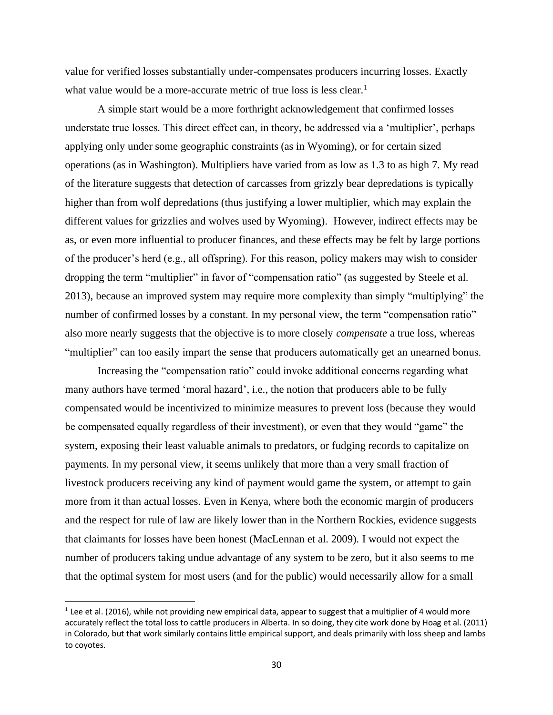value for verified losses substantially under-compensates producers incurring losses. Exactly what value would be a more-accurate metric of true loss is less clear.<sup>1</sup>

A simple start would be a more forthright acknowledgement that confirmed losses understate true losses. This direct effect can, in theory, be addressed via a 'multiplier', perhaps applying only under some geographic constraints (as in Wyoming), or for certain sized operations (as in Washington). Multipliers have varied from as low as 1.3 to as high 7. My read of the literature suggests that detection of carcasses from grizzly bear depredations is typically higher than from wolf depredations (thus justifying a lower multiplier, which may explain the different values for grizzlies and wolves used by Wyoming). However, indirect effects may be as, or even more influential to producer finances, and these effects may be felt by large portions of the producer's herd (e.g., all offspring). For this reason, policy makers may wish to consider dropping the term "multiplier" in favor of "compensation ratio" (as suggested by Steele et al. 2013), because an improved system may require more complexity than simply "multiplying" the number of confirmed losses by a constant. In my personal view, the term "compensation ratio" also more nearly suggests that the objective is to more closely *compensate* a true loss, whereas "multiplier" can too easily impart the sense that producers automatically get an unearned bonus.

Increasing the "compensation ratio" could invoke additional concerns regarding what many authors have termed 'moral hazard', i.e., the notion that producers able to be fully compensated would be incentivized to minimize measures to prevent loss (because they would be compensated equally regardless of their investment), or even that they would "game" the system, exposing their least valuable animals to predators, or fudging records to capitalize on payments. In my personal view, it seems unlikely that more than a very small fraction of livestock producers receiving any kind of payment would game the system, or attempt to gain more from it than actual losses. Even in Kenya, where both the economic margin of producers and the respect for rule of law are likely lower than in the Northern Rockies, evidence suggests that claimants for losses have been honest (MacLennan et al. 2009). I would not expect the number of producers taking undue advantage of any system to be zero, but it also seems to me that the optimal system for most users (and for the public) would necessarily allow for a small

 $1$  Lee et al. (2016), while not providing new empirical data, appear to suggest that a multiplier of 4 would more accurately reflect the total loss to cattle producers in Alberta. In so doing, they cite work done by Hoag et al. (2011) in Colorado, but that work similarly contains little empirical support, and deals primarily with loss sheep and lambs to coyotes.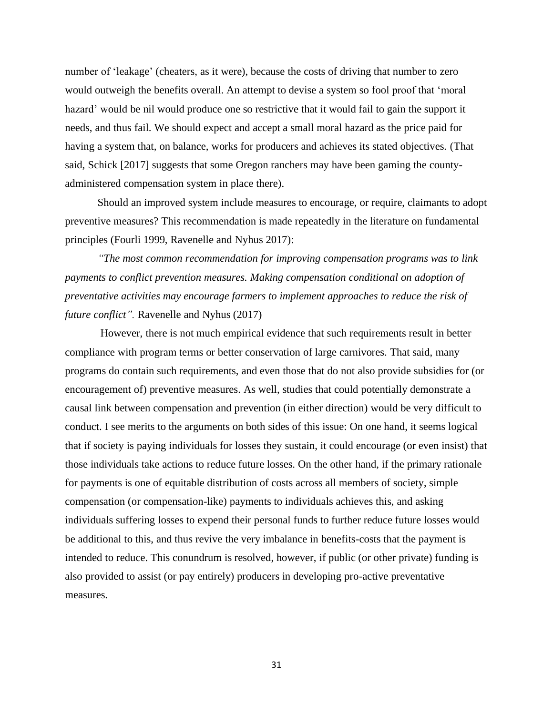number of 'leakage' (cheaters, as it were), because the costs of driving that number to zero would outweigh the benefits overall. An attempt to devise a system so fool proof that 'moral hazard' would be nil would produce one so restrictive that it would fail to gain the support it needs, and thus fail. We should expect and accept a small moral hazard as the price paid for having a system that, on balance, works for producers and achieves its stated objectives. (That said, Schick [2017] suggests that some Oregon ranchers may have been gaming the countyadministered compensation system in place there).

Should an improved system include measures to encourage, or require, claimants to adopt preventive measures? This recommendation is made repeatedly in the literature on fundamental principles (Fourli 1999, Ravenelle and Nyhus 2017):

*"The most common recommendation for improving compensation programs was to link payments to conflict prevention measures. Making compensation conditional on adoption of preventative activities may encourage farmers to implement approaches to reduce the risk of future conflict".* Ravenelle and Nyhus (2017)

However, there is not much empirical evidence that such requirements result in better compliance with program terms or better conservation of large carnivores. That said, many programs do contain such requirements, and even those that do not also provide subsidies for (or encouragement of) preventive measures. As well, studies that could potentially demonstrate a causal link between compensation and prevention (in either direction) would be very difficult to conduct. I see merits to the arguments on both sides of this issue: On one hand, it seems logical that if society is paying individuals for losses they sustain, it could encourage (or even insist) that those individuals take actions to reduce future losses. On the other hand, if the primary rationale for payments is one of equitable distribution of costs across all members of society, simple compensation (or compensation-like) payments to individuals achieves this, and asking individuals suffering losses to expend their personal funds to further reduce future losses would be additional to this, and thus revive the very imbalance in benefits-costs that the payment is intended to reduce. This conundrum is resolved, however, if public (or other private) funding is also provided to assist (or pay entirely) producers in developing pro-active preventative measures.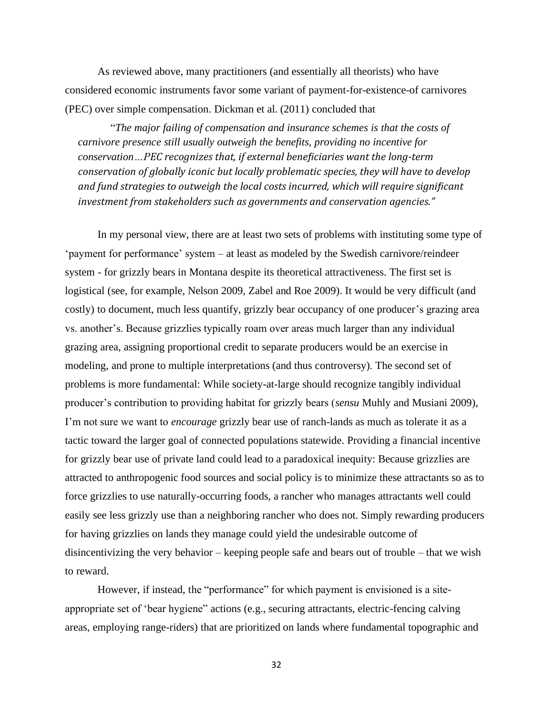As reviewed above, many practitioners (and essentially all theorists) who have considered economic instruments favor some variant of payment-for-existence-of carnivores (PEC) over simple compensation. Dickman et al. (2011) concluded that

"*The major failing of compensation and insurance schemes is that the costs of carnivore presence still usually outweigh the benefits, providing no incentive for conservation…PEC recognizes that, if external beneficiaries want the long-term conservation of globally iconic but locally problematic species, they will have to develop and fund strategies to outweigh the local costs incurred, which will require significant investment from stakeholders such as governments and conservation agencies."*

In my personal view, there are at least two sets of problems with instituting some type of 'payment for performance' system – at least as modeled by the Swedish carnivore/reindeer system - for grizzly bears in Montana despite its theoretical attractiveness. The first set is logistical (see, for example, Nelson 2009, Zabel and Roe 2009). It would be very difficult (and costly) to document, much less quantify, grizzly bear occupancy of one producer's grazing area vs. another's. Because grizzlies typically roam over areas much larger than any individual grazing area, assigning proportional credit to separate producers would be an exercise in modeling, and prone to multiple interpretations (and thus controversy). The second set of problems is more fundamental: While society-at-large should recognize tangibly individual producer's contribution to providing habitat for grizzly bears (*sensu* Muhly and Musiani 2009), I'm not sure we want to *encourage* grizzly bear use of ranch-lands as much as tolerate it as a tactic toward the larger goal of connected populations statewide. Providing a financial incentive for grizzly bear use of private land could lead to a paradoxical inequity: Because grizzlies are attracted to anthropogenic food sources and social policy is to minimize these attractants so as to force grizzlies to use naturally-occurring foods, a rancher who manages attractants well could easily see less grizzly use than a neighboring rancher who does not. Simply rewarding producers for having grizzlies on lands they manage could yield the undesirable outcome of disincentivizing the very behavior – keeping people safe and bears out of trouble – that we wish to reward.

However, if instead, the "performance" for which payment is envisioned is a siteappropriate set of 'bear hygiene" actions (e.g., securing attractants, electric-fencing calving areas, employing range-riders) that are prioritized on lands where fundamental topographic and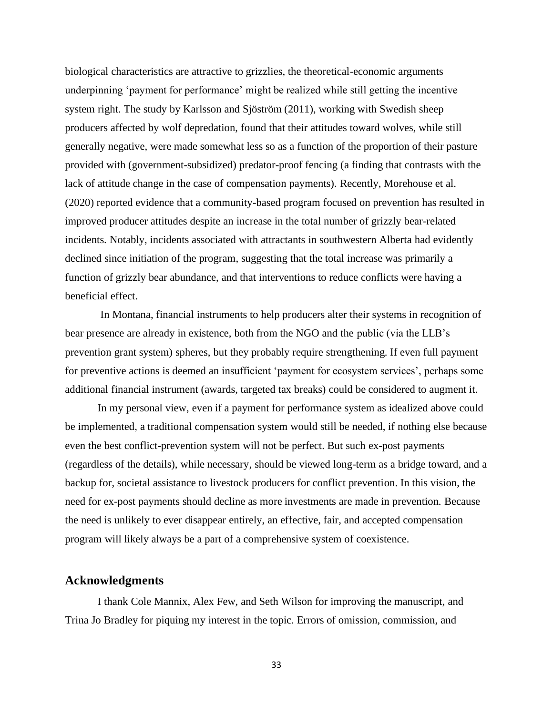biological characteristics are attractive to grizzlies, the theoretical-economic arguments underpinning 'payment for performance' might be realized while still getting the incentive system right. The study by Karlsson and Sjöström (2011), working with Swedish sheep producers affected by wolf depredation, found that their attitudes toward wolves, while still generally negative, were made somewhat less so as a function of the proportion of their pasture provided with (government-subsidized) predator-proof fencing (a finding that contrasts with the lack of attitude change in the case of compensation payments). Recently, Morehouse et al. (2020) reported evidence that a community-based program focused on prevention has resulted in improved producer attitudes despite an increase in the total number of grizzly bear-related incidents. Notably, incidents associated with attractants in southwestern Alberta had evidently declined since initiation of the program, suggesting that the total increase was primarily a function of grizzly bear abundance, and that interventions to reduce conflicts were having a beneficial effect.

In Montana, financial instruments to help producers alter their systems in recognition of bear presence are already in existence, both from the NGO and the public (via the LLB's prevention grant system) spheres, but they probably require strengthening. If even full payment for preventive actions is deemed an insufficient 'payment for ecosystem services', perhaps some additional financial instrument (awards, targeted tax breaks) could be considered to augment it.

In my personal view, even if a payment for performance system as idealized above could be implemented, a traditional compensation system would still be needed, if nothing else because even the best conflict-prevention system will not be perfect. But such ex-post payments (regardless of the details), while necessary, should be viewed long-term as a bridge toward, and a backup for, societal assistance to livestock producers for conflict prevention. In this vision, the need for ex-post payments should decline as more investments are made in prevention. Because the need is unlikely to ever disappear entirely, an effective, fair, and accepted compensation program will likely always be a part of a comprehensive system of coexistence.

# **Acknowledgments**

I thank Cole Mannix, Alex Few, and Seth Wilson for improving the manuscript, and Trina Jo Bradley for piquing my interest in the topic. Errors of omission, commission, and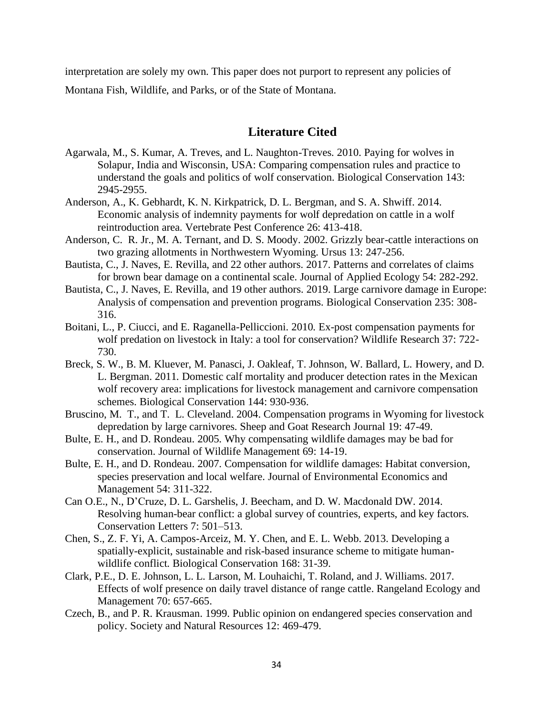interpretation are solely my own. This paper does not purport to represent any policies of Montana Fish, Wildlife, and Parks, or of the State of Montana.

# **Literature Cited**

- Agarwala, M., S. Kumar, A. Treves, and L. Naughton-Treves. 2010. Paying for wolves in Solapur, India and Wisconsin, USA: Comparing compensation rules and practice to understand the goals and politics of wolf conservation. Biological Conservation 143: 2945-2955.
- Anderson, A., K. Gebhardt, K. N. Kirkpatrick, D. L. Bergman, and S. A. Shwiff. 2014. Economic analysis of indemnity payments for wolf depredation on cattle in a wolf reintroduction area. Vertebrate Pest Conference 26: 413-418.
- Anderson, C. R. Jr., M. A. Ternant, and D. S. Moody. 2002. Grizzly bear-cattle interactions on two grazing allotments in Northwestern Wyoming. Ursus 13: 247-256.
- Bautista, C., J. Naves, E. Revilla, and 22 other authors. 2017. Patterns and correlates of claims for brown bear damage on a continental scale. Journal of Applied Ecology 54: 282-292.
- Bautista, C., J. Naves, E. Revilla, and 19 other authors. 2019. Large carnivore damage in Europe: Analysis of compensation and prevention programs. Biological Conservation 235: 308- 316.
- Boitani, L., P. Ciucci, and E. Raganella-Pelliccioni. 2010. Ex-post compensation payments for wolf predation on livestock in Italy: a tool for conservation? Wildlife Research 37: 722- 730.
- Breck, S. W., B. M. Kluever, M. Panasci, J. Oakleaf, T. Johnson, W. Ballard, L. Howery, and D. L. Bergman. 2011. Domestic calf mortality and producer detection rates in the Mexican wolf recovery area: implications for livestock management and carnivore compensation schemes. Biological Conservation 144: 930-936.
- Bruscino, M. T., and T. L. Cleveland. 2004. Compensation programs in Wyoming for livestock depredation by large carnivores. Sheep and Goat Research Journal 19: 47-49.
- Bulte, E. H., and D. Rondeau. 2005. Why compensating wildlife damages may be bad for conservation. Journal of Wildlife Management 69: 14-19.
- Bulte, E. H., and D. Rondeau. 2007. Compensation for wildlife damages: Habitat conversion, species preservation and local welfare. Journal of Environmental Economics and Management 54: 311-322.
- Can O.E., N., D'Cruze, D. L. Garshelis, J. Beecham, and D. W. Macdonald DW. 2014. Resolving human-bear conflict: a global survey of countries, experts, and key factors. Conservation Letters 7: 501–513.
- Chen, S., Z. F. Yi, A. Campos-Arceiz, M. Y. Chen, and E. L. Webb. 2013. Developing a spatially-explicit, sustainable and risk-based insurance scheme to mitigate humanwildlife conflict. Biological Conservation 168: 31-39.
- Clark, P.E., D. E. Johnson, L. L. Larson, M. Louhaichi, T. Roland, and J. Williams. 2017. Effects of wolf presence on daily travel distance of range cattle. Rangeland Ecology and Management 70: 657-665.
- Czech, B., and P. R. Krausman. 1999. Public opinion on endangered species conservation and policy. Society and Natural Resources 12: 469-479.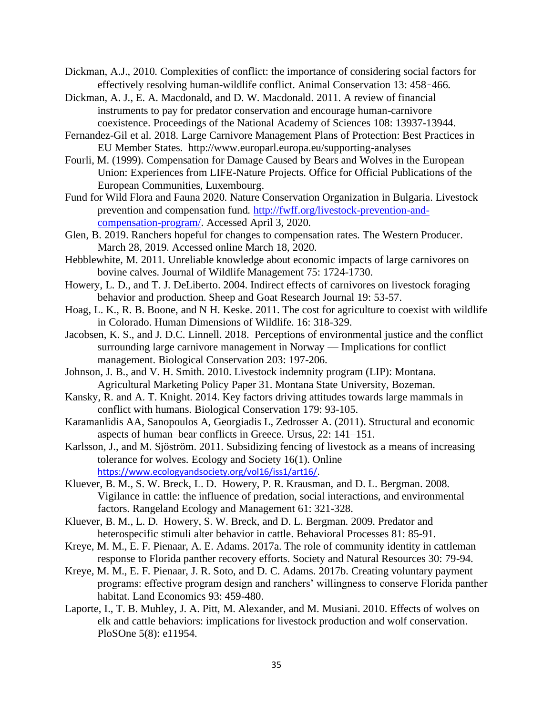Dickman, A.J., 2010. Complexities of conflict: the importance of considering social factors for effectively resolving human-wildlife conflict. Animal Conservation 13: 458–466.

Dickman, A. J., E. A. Macdonald, and D. W. Macdonald. 2011. A review of financial instruments to pay for predator conservation and encourage human-carnivore coexistence. Proceedings of the National Academy of Sciences 108: 13937-13944.

- Fernandez-Gil et al. 2018. Large Carnivore Management Plans of Protection: Best Practices in EU Member States. http://www.europarl.europa.eu/supporting-analyses
- Fourli, M. (1999). Compensation for Damage Caused by Bears and Wolves in the European Union: Experiences from LIFE-Nature Projects. Office for Official Publications of the European Communities, Luxembourg.
- Fund for Wild Flora and Fauna 2020. Nature Conservation Organization in Bulgaria. Livestock prevention and compensation fund. [http://fwff.org/livestock-prevention-and](http://fwff.org/livestock-prevention-and-compensation-program/)[compensation-program/.](http://fwff.org/livestock-prevention-and-compensation-program/) Accessed April 3, 2020.
- Glen, B. 2019. Ranchers hopeful for changes to compensation rates. The Western Producer. March 28, 2019. Accessed online March 18, 2020.
- Hebblewhite, M. 2011. Unreliable knowledge about economic impacts of large carnivores on bovine calves. Journal of Wildlife Management 75: 1724-1730.
- Howery, L. D., and T. J. DeLiberto. 2004. Indirect effects of carnivores on livestock foraging behavior and production. Sheep and Goat Research Journal 19: 53-57.
- Hoag, L. K., R. B. Boone, and N H. Keske. 2011. The cost for agriculture to coexist with wildlife in Colorado. Human Dimensions of Wildlife. 16: 318-329.
- Jacobsen, K. S., and J. D.C. Linnell. 2018. Perceptions of environmental justice and the conflict surrounding large carnivore management in Norway — Implications for conflict management. Biological Conservation 203: 197-206.
- Johnson, J. B., and V. H. Smith. 2010. Livestock indemnity program (LIP): Montana. Agricultural Marketing Policy Paper 31. Montana State University, Bozeman.
- Kansky, R. and A. T. Knight. 2014. Key factors driving attitudes towards large mammals in conflict with humans. Biological Conservation 179: 93-105.
- Karamanlidis AA, Sanopoulos A, Georgiadis L, Zedrosser A. (2011). Structural and economic aspects of human–bear conflicts in Greece. Ursus, 22: 141–151.
- Karlsson, J., and M. Sjöström. 2011. Subsidizing fencing of livestock as a means of increasing tolerance for wolves. Ecology and Society 16(1). Online [https://www.ecologyandsociety.org/vol16/iss1/art16/.](https://www.ecologyandsociety.org/vol16/iss1/art16/)
- Kluever, B. M., S. W. Breck, L. D. Howery, P. R. Krausman, and D. L. Bergman. 2008. Vigilance in cattle: the influence of predation, social interactions, and environmental factors. Rangeland Ecology and Management 61: 321-328.
- Kluever, B. M., L. D. Howery, S. W. Breck, and D. L. Bergman. 2009. Predator and heterospecific stimuli alter behavior in cattle. Behavioral Processes 81: 85-91.
- Kreye, M. M., E. F. Pienaar, A. E. Adams. 2017a. The role of community identity in cattleman response to Florida panther recovery efforts. Society and Natural Resources 30: 79-94.
- Kreye, M. M., E. F. Pienaar, J. R. Soto, and D. C. Adams. 2017b. Creating voluntary payment programs: effective program design and ranchers' willingness to conserve Florida panther habitat. Land Economics 93: 459-480.
- Laporte, I., T. B. Muhley, J. A. Pitt, M. Alexander, and M. Musiani. 2010. Effects of wolves on elk and cattle behaviors: implications for livestock production and wolf conservation. PloSOne 5(8): e11954.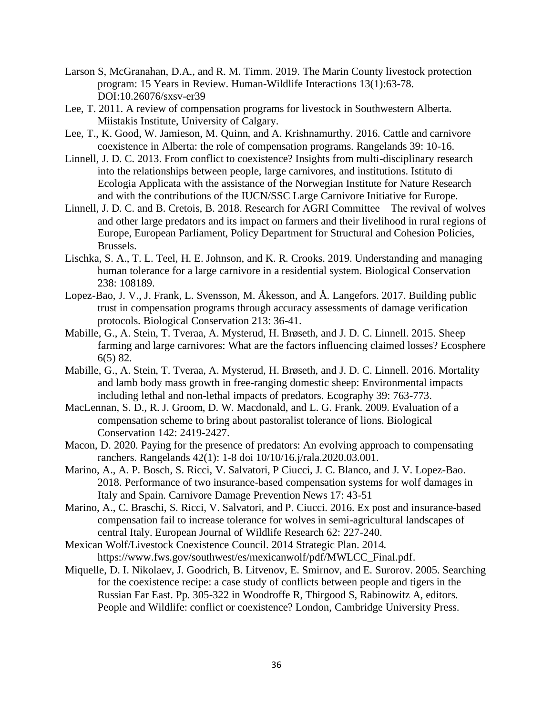- Larson S, McGranahan, D.A., and R. M. Timm. 2019. The Marin County livestock protection program: 15 Years in Review. Human-Wildlife Interactions 13(1):63-78. DOI:10.26076/sxsv-er39
- Lee, T. 2011. A review of compensation programs for livestock in Southwestern Alberta. Miistakis Institute, University of Calgary.
- Lee, T., K. Good, W. Jamieson, M. Quinn, and A. Krishnamurthy. 2016. Cattle and carnivore coexistence in Alberta: the role of compensation programs. Rangelands 39: 10-16.
- Linnell, J. D. C. 2013. From conflict to coexistence? Insights from multi-disciplinary research into the relationships between people, large carnivores, and institutions. Istituto di Ecologia Applicata with the assistance of the Norwegian Institute for Nature Research and with the contributions of the IUCN/SSC Large Carnivore Initiative for Europe.
- Linnell, J. D. C. and B. Cretois, B. 2018. Research for AGRI Committee The revival of wolves and other large predators and its impact on farmers and their livelihood in rural regions of Europe, European Parliament, Policy Department for Structural and Cohesion Policies, Brussels.
- Lischka, S. A., T. L. Teel, H. E. Johnson, and K. R. Crooks. 2019. Understanding and managing human tolerance for a large carnivore in a residential system. Biological Conservation 238: 108189.
- Lopez-Bao, J. V., J. Frank, L. Svensson, M. Åkesson, and Å. Langefors. 2017. Building public trust in compensation programs through accuracy assessments of damage verification protocols. Biological Conservation 213: 36-41.
- Mabille, G., A. Stein, T. Tveraa, A. Mysterud, H. Brøseth, and J. D. C. Linnell. 2015. Sheep farming and large carnivores: What are the factors influencing claimed losses? Ecosphere 6(5) 82.
- Mabille, G., A. Stein, T. Tveraa, A. Mysterud, H. Brøseth, and J. D. C. Linnell. 2016. Mortality and lamb body mass growth in free-ranging domestic sheep: Environmental impacts including lethal and non-lethal impacts of predators. Ecography 39: 763-773.
- MacLennan, S. D., R. J. Groom, D. W. Macdonald, and L. G. Frank. 2009. Evaluation of a compensation scheme to bring about pastoralist tolerance of lions. Biological Conservation 142: 2419-2427.
- Macon, D. 2020. Paying for the presence of predators: An evolving approach to compensating ranchers. Rangelands 42(1): 1-8 doi 10/10/16.j/rala.2020.03.001.
- Marino, A., A. P. Bosch, S. Ricci, V. Salvatori, P Ciucci, J. C. Blanco, and J. V. Lopez-Bao. 2018. Performance of two insurance-based compensation systems for wolf damages in Italy and Spain. Carnivore Damage Prevention News 17: 43-51
- Marino, A., C. Braschi, S. Ricci, V. Salvatori, and P. Ciucci. 2016. Ex post and insurance-based compensation fail to increase tolerance for wolves in semi-agricultural landscapes of central Italy. European Journal of Wildlife Research 62: 227-240.
- Mexican Wolf/Livestock Coexistence Council. 2014 Strategic Plan. 2014. https://www.fws.gov/southwest/es/mexicanwolf/pdf/MWLCC\_Final.pdf.
- Miquelle, D. I. Nikolaev, J. Goodrich, B. Litvenov, E. Smirnov, and E. Surorov. 2005. Searching for the coexistence recipe: a case study of conflicts between people and tigers in the Russian Far East. Pp. 305-322 in Woodroffe R, Thirgood S, Rabinowitz A, editors. People and Wildlife: conflict or coexistence? London, Cambridge University Press.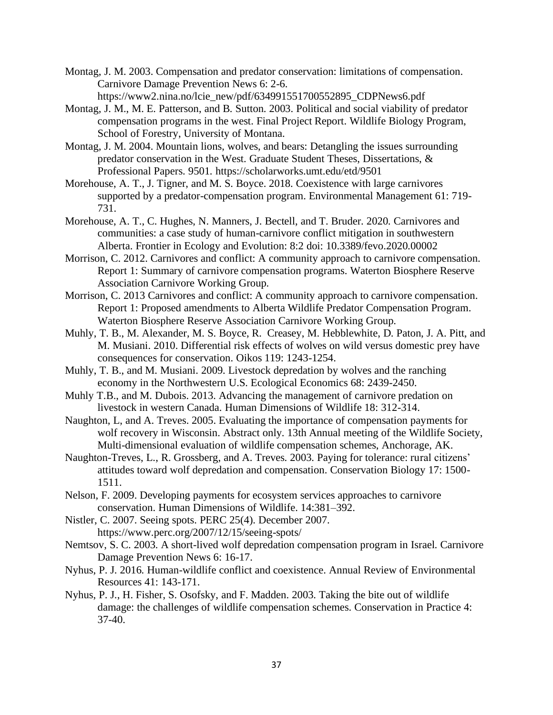- Montag, J. M. 2003. Compensation and predator conservation: limitations of compensation. Carnivore Damage Prevention News 6: 2-6. https://www2.nina.no/lcie\_new/pdf/634991551700552895\_CDPNews6.pdf
- Montag, J. M., M. E. Patterson, and B. Sutton. 2003. Political and social viability of predator compensation programs in the west. Final Project Report. Wildlife Biology Program, School of Forestry, University of Montana.
- Montag, J. M. 2004. Mountain lions, wolves, and bears: Detangling the issues surrounding predator conservation in the West. Graduate Student Theses, Dissertations, & Professional Papers. 9501. https://scholarworks.umt.edu/etd/9501
- Morehouse, A. T., J. Tigner, and M. S. Boyce. 2018. Coexistence with large carnivores supported by a predator-compensation program. Environmental Management 61: 719- 731.
- Morehouse, A. T., C. Hughes, N. Manners, J. Bectell, and T. Bruder. 2020. Carnivores and communities: a case study of human-carnivore conflict mitigation in southwestern Alberta. Frontier in Ecology and Evolution: 8:2 doi: 10.3389/fevo.2020.00002
- Morrison, C. 2012. Carnivores and conflict: A community approach to carnivore compensation. Report 1: Summary of carnivore compensation programs. Waterton Biosphere Reserve Association Carnivore Working Group.
- Morrison, C. 2013 Carnivores and conflict: A community approach to carnivore compensation. Report 1: Proposed amendments to Alberta Wildlife Predator Compensation Program. Waterton Biosphere Reserve Association Carnivore Working Group.
- Muhly, T. B., M. Alexander, M. S. Boyce, R. Creasey, M. Hebblewhite, D. Paton, J. A. Pitt, and M. Musiani. 2010. Differential risk effects of wolves on wild versus domestic prey have consequences for conservation. Oikos 119: 1243-1254.
- Muhly, T. B., and M. Musiani. 2009. Livestock depredation by wolves and the ranching economy in the Northwestern U.S. Ecological Economics 68: 2439-2450.
- Muhly T.B., and M. Dubois. 2013. Advancing the management of carnivore predation on livestock in western Canada. Human Dimensions of Wildlife 18: 312-314.
- Naughton, L, and A. Treves. 2005. Evaluating the importance of compensation payments for wolf recovery in Wisconsin. Abstract only. 13th Annual meeting of the Wildlife Society, Multi-dimensional evaluation of wildlife compensation schemes, Anchorage, AK.
- Naughton-Treves, L., R. Grossberg, and A. Treves. 2003. Paying for tolerance: rural citizens' attitudes toward wolf depredation and compensation. Conservation Biology 17: 1500- 1511.
- Nelson, F. 2009. Developing payments for ecosystem services approaches to carnivore conservation. Human Dimensions of Wildlife. 14:381–392.
- Nistler, C. 2007. Seeing spots. PERC 25(4). December 2007. https://www.perc.org/2007/12/15/seeing-spots/
- Nemtsov, S. C. 2003. A short-lived wolf depredation compensation program in Israel. Carnivore Damage Prevention News 6: 16-17.
- Nyhus, P. J. 2016. Human-wildlife conflict and coexistence. Annual Review of Environmental Resources 41: 143-171.
- Nyhus, P. J., H. Fisher, S. Osofsky, and F. Madden. 2003. Taking the bite out of wildlife damage: the challenges of wildlife compensation schemes. Conservation in Practice 4: 37-40.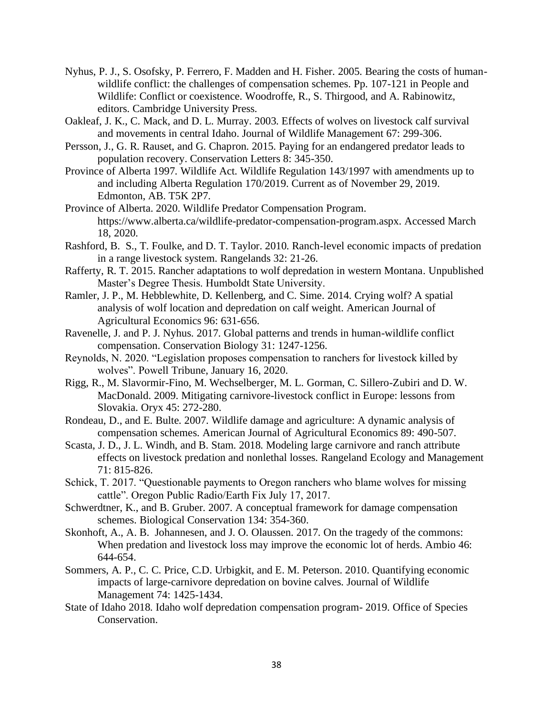- Nyhus, P. J., S. Osofsky, P. Ferrero, F. Madden and H. Fisher. 2005. Bearing the costs of humanwildlife conflict: the challenges of compensation schemes. Pp. 107-121 in People and Wildlife: Conflict or coexistence. Woodroffe, R., S. Thirgood, and A. Rabinowitz, editors. Cambridge University Press.
- Oakleaf, J. K., C. Mack, and D. L. Murray. 2003. Effects of wolves on livestock calf survival and movements in central Idaho. Journal of Wildlife Management 67: 299-306.
- Persson, J., G. R. Rauset, and G. Chapron. 2015. Paying for an endangered predator leads to population recovery. Conservation Letters 8: 345-350.
- Province of Alberta 1997. Wildlife Act. Wildlife Regulation 143/1997 with amendments up to and including Alberta Regulation 170/2019. Current as of November 29, 2019. Edmonton, AB. T5K 2P7.
- Province of Alberta. 2020. Wildlife Predator Compensation Program. https://www.alberta.ca/wildlife-predator-compensation-program.aspx. Accessed March 18, 2020.
- Rashford, B. S., T. Foulke, and D. T. Taylor. 2010. Ranch-level economic impacts of predation in a range livestock system. Rangelands 32: 21-26.
- Rafferty, R. T. 2015. Rancher adaptations to wolf depredation in western Montana. Unpublished Master's Degree Thesis. Humboldt State University.
- Ramler, J. P., M. Hebblewhite, D. Kellenberg, and C. Sime. 2014. Crying wolf? A spatial analysis of wolf location and depredation on calf weight. American Journal of Agricultural Economics 96: 631-656.
- Ravenelle, J. and P. J. Nyhus. 2017. Global patterns and trends in human-wildlife conflict compensation. Conservation Biology 31: 1247-1256.
- Reynolds, N. 2020. "Legislation proposes compensation to ranchers for livestock killed by wolves". Powell Tribune, January 16, 2020.
- Rigg, R., M. Slavormir-Fino, M. Wechselberger, M. L. Gorman, C. Sillero-Zubiri and D. W. MacDonald. 2009. Mitigating carnivore-livestock conflict in Europe: lessons from Slovakia. Oryx 45: 272-280.
- Rondeau, D., and E. Bulte. 2007. Wildlife damage and agriculture: A dynamic analysis of compensation schemes. American Journal of Agricultural Economics 89: 490-507.
- Scasta, J. D., J. L. Windh, and B. Stam. 2018. Modeling large carnivore and ranch attribute effects on livestock predation and nonlethal losses. Rangeland Ecology and Management 71: 815-826.
- Schick, T. 2017. "Questionable payments to Oregon ranchers who blame wolves for missing cattle". Oregon Public Radio/Earth Fix July 17, 2017.
- Schwerdtner, K., and B. Gruber. 2007. A conceptual framework for damage compensation schemes. Biological Conservation 134: 354-360.
- Skonhoft, A., A. B. Johannesen, and J. O. Olaussen. 2017. On the tragedy of the commons: When predation and livestock loss may improve the economic lot of herds. Ambio 46: 644-654.
- Sommers, A. P., C. C. Price, C.D. Urbigkit, and E. M. Peterson. 2010. Quantifying economic impacts of large-carnivore depredation on bovine calves. Journal of Wildlife Management 74: 1425-1434.
- State of Idaho 2018. Idaho wolf depredation compensation program- 2019. Office of Species Conservation.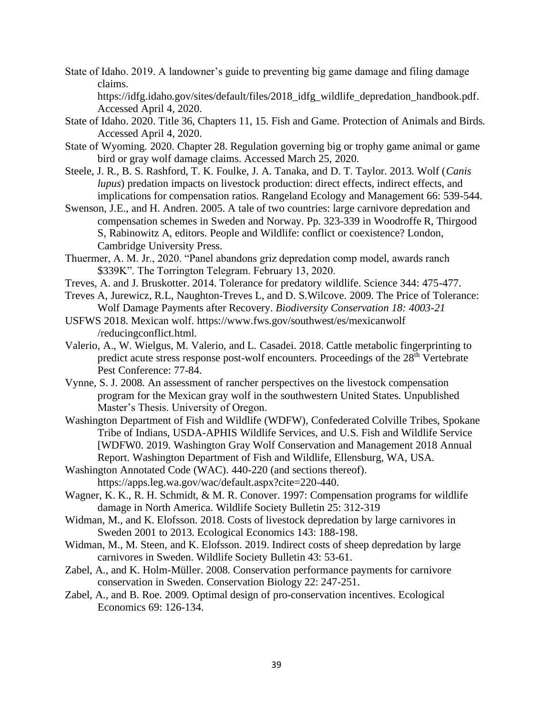State of Idaho. 2019. A landowner's guide to preventing big game damage and filing damage claims.

https://idfg.idaho.gov/sites/default/files/2018\_idfg\_wildlife\_depredation\_handbook.pdf. Accessed April 4, 2020.

- State of Idaho. 2020. Title 36, Chapters 11, 15. Fish and Game. Protection of Animals and Birds. Accessed April 4, 2020.
- State of Wyoming. 2020. Chapter 28. Regulation governing big or trophy game animal or game bird or gray wolf damage claims. Accessed March 25, 2020.
- Steele, J. R., B. S. Rashford, T. K. Foulke, J. A. Tanaka, and D. T. Taylor. 2013. Wolf (*Canis lupus*) predation impacts on livestock production: direct effects, indirect effects, and implications for compensation ratios. Rangeland Ecology and Management 66: 539-544.
- Swenson, J.E., and H. Andren. 2005. A tale of two countries: large carnivore depredation and compensation schemes in Sweden and Norway. Pp. 323-339 in Woodroffe R, Thirgood S, Rabinowitz A, editors. People and Wildlife: conflict or coexistence? London, Cambridge University Press.
- Thuermer, A. M. Jr., 2020. "Panel abandons griz depredation comp model, awards ranch \$339K". The Torrington Telegram. February 13, 2020.
- Treves, A. and J. Bruskotter. 2014. Tolerance for predatory wildlife. Science 344: 475-477.
- Treves A, Jurewicz, R.L, Naughton-Treves L, and D. S.Wilcove. 2009. The Price of Tolerance: Wolf Damage Payments after Recovery. *Biodiversity Conservation 18: 4003-21*
- USFWS 2018. Mexican wolf. https://www.fws.gov/southwest/es/mexicanwolf /reducingconflict.html.
- Valerio, A., W. Wielgus, M. Valerio, and L. Casadei. 2018. Cattle metabolic fingerprinting to predict acute stress response post-wolf encounters. Proceedings of the 28<sup>th</sup> Vertebrate Pest Conference: 77-84.
- Vynne, S. J. 2008. An assessment of rancher perspectives on the livestock compensation program for the Mexican gray wolf in the southwestern United States. Unpublished Master's Thesis. University of Oregon.
- Washington Department of Fish and Wildlife (WDFW), Confederated Colville Tribes, Spokane Tribe of Indians, USDA-APHIS Wildlife Services, and U.S. Fish and Wildlife Service [WDFW0. 2019. Washington Gray Wolf Conservation and Management 2018 Annual Report. Washington Department of Fish and Wildlife, Ellensburg, WA, USA.
- Washington Annotated Code (WAC). 440-220 (and sections thereof). https://apps.leg.wa.gov/wac/default.aspx?cite=220-440.
- Wagner, K. K., R. H. Schmidt, & M. R. Conover. 1997: Compensation programs for wildlife damage in North America. Wildlife Society Bulletin 25: 312-319
- Widman, M., and K. Elofsson. 2018. Costs of livestock depredation by large carnivores in Sweden 2001 to 2013. Ecological Economics 143: 188-198.
- Widman, M., M. Steen, and K. Elofsson. 2019. Indirect costs of sheep depredation by large carnivores in Sweden. Wildlife Society Bulletin 43: 53-61.
- Zabel, A., and K. Holm-Müller. 2008. Conservation performance payments for carnivore conservation in Sweden. Conservation Biology 22: 247-251.
- Zabel, A., and B. Roe. 2009. Optimal design of pro-conservation incentives. Ecological Economics 69: 126-134.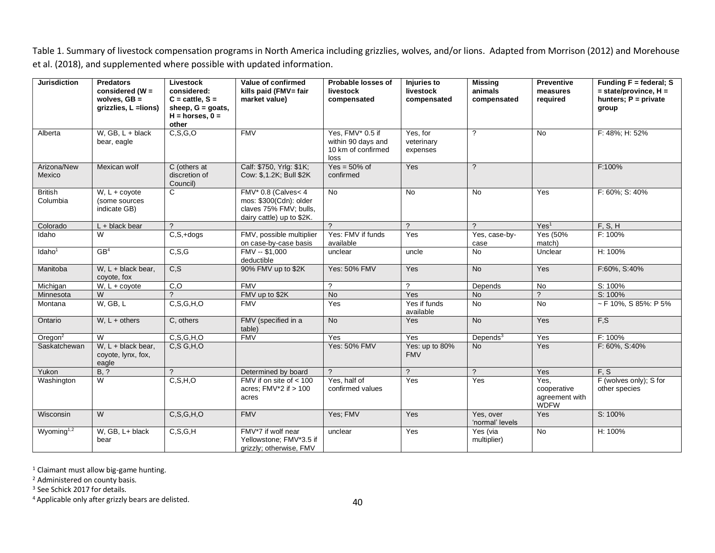Table 1. Summary of livestock compensation programs in North America including grizzlies, wolves, and/or lions. Adapted from Morrison (2012) and Morehouse et al. (2018), and supplemented where possible with updated information.

| <b>Jurisdiction</b>        | <b>Predators</b><br>considered ( $W =$<br>wolves, $GB =$<br>grizzlies, L =lions) | Livestock<br>considered:<br>$C = \text{cattle}, S =$<br>sheep, $G =$ goats,<br>$H =$ horses, $0 =$<br>other | Value of confirmed<br>kills paid (FMV= fair<br>market value)                                            | Probable losses of<br>livestock<br>compensated                       | <b>Injuries to</b><br>livestock<br>compensated | <b>Missing</b><br>animals<br>compensated | <b>Preventive</b><br>measures<br>required            | Funding $F = federal; S$<br>$=$ state/province, $H =$<br>hunters; $P = private$<br>group |
|----------------------------|----------------------------------------------------------------------------------|-------------------------------------------------------------------------------------------------------------|---------------------------------------------------------------------------------------------------------|----------------------------------------------------------------------|------------------------------------------------|------------------------------------------|------------------------------------------------------|------------------------------------------------------------------------------------------|
| Alberta                    | W, GB, $L + black$<br>bear, eagle                                                | C, S, G, O                                                                                                  | <b>FMV</b>                                                                                              | Yes, FMV* 0.5 if<br>within 90 days and<br>10 km of confirmed<br>loss | Yes, for<br>veterinary<br>expenses             | $\gamma$                                 | <b>No</b>                                            | F: 48%; H: 52%                                                                           |
| Arizona/New<br>Mexico      | Mexican wolf                                                                     | C (others at<br>discretion of<br>Council)                                                                   | Calf: \$750, Yrlg: \$1K;<br>Cow: \$,1.2K; Bull \$2K                                                     | $Yes = 50\%$ of<br>confirmed                                         | Yes                                            | $\mathcal{P}$                            |                                                      | F:100%                                                                                   |
| <b>British</b><br>Columbia | $W, L + \text{coyote}$<br>(some sources<br>indicate GB)                          | C                                                                                                           | $FMV* 0.8$ (Calves < 4<br>mos: \$300(Cdn): older<br>claves 75% FMV; bulls,<br>dairy cattle) up to \$2K. | $\overline{N}$                                                       | $\overline{N}$                                 | <b>No</b>                                | Yes                                                  | F: 60%; S: 40%                                                                           |
| Colorado                   | $L +$ black bear                                                                 | $\mathcal{P}$                                                                                               |                                                                                                         | $\mathcal{P}$                                                        | $\gamma$                                       | $\gamma$                                 | Yes <sup>1</sup>                                     | F, S, H                                                                                  |
| Idaho                      | W                                                                                | $\overline{C, S, +}$ dogs                                                                                   | FMV, possible multiplier<br>on case-by-case basis                                                       | Yes: FMV if funds<br>available                                       | Yes                                            | Yes, case-by-<br>case                    | Yes (50%<br>match)                                   | F: 100%                                                                                  |
| Idaho <sup>1</sup>         | GB <sup>4</sup>                                                                  | C, S, G                                                                                                     | $FMV - $1,000$<br>deductible                                                                            | unclear                                                              | uncle                                          | <b>No</b>                                | Unclear                                              | H: 100%                                                                                  |
| Manitoba                   | W, $L +$ black bear,<br>coyote, fox                                              | $\overline{C, S}$                                                                                           | 90% FMV up to \$2K                                                                                      | <b>Yes: 50% FMV</b>                                                  | Yes                                            | <b>No</b>                                | Yes                                                  | F:60%, S:40%                                                                             |
| Michigan                   | $W, L + \text{covote}$                                                           | $\overline{C}$                                                                                              | <b>FMV</b>                                                                                              | $\gamma$                                                             | $\gamma$                                       | Depends                                  | <b>No</b>                                            | S: 100%                                                                                  |
| Minnesota                  | W                                                                                | $\mathcal{P}$                                                                                               | FMV up to \$2K                                                                                          | <b>No</b>                                                            | Yes                                            | <b>No</b>                                | ?                                                    | S: 100%                                                                                  |
| Montana                    | W, GB, L                                                                         | C, S, G, H, O                                                                                               | <b>FMV</b>                                                                                              | Yes                                                                  | Yes if funds<br>available                      | <b>No</b>                                | No                                                   | $\sim$ F 10%, S 85%: P 5%                                                                |
| Ontario                    | $W, L + others$                                                                  | C, others                                                                                                   | FMV (specified in a<br>table)                                                                           | $\overline{N}$                                                       | Yes                                            | $\overline{N}$                           | Yes                                                  | F,S                                                                                      |
| Oregon $2$                 | W                                                                                | C, S, G, H, O                                                                                               | <b>FMV</b>                                                                                              | Yes                                                                  | Yes                                            | Depends $3$                              | Yes                                                  | F: 100%                                                                                  |
| Saskatchewan               | W. $L +$ black bear.<br>coyote, lynx, fox,<br>eagle                              | C, S, G, H, O                                                                                               |                                                                                                         | <b>Yes: 50% FMV</b>                                                  | Yes: up to 80%<br><b>FMV</b>                   | <b>No</b>                                | Yes                                                  | F: 60%, S:40%                                                                            |
| Yukon                      | B, ?                                                                             | $\mathcal{P}$                                                                                               | Determined by board                                                                                     | $\mathcal{P}$                                                        | $\overline{?}$                                 | $\gamma$                                 | Yes                                                  | F, S                                                                                     |
| Washington                 | $\overline{W}$                                                                   | C, S, H, O                                                                                                  | FMV if on site of < 100<br>acres; $FMV*2$ if $> 100$<br>acres                                           | Yes, half of<br>confirmed values                                     | Yes                                            | Yes                                      | Yes.<br>cooperative<br>agreement with<br><b>WDFW</b> | F (wolves only); S for<br>other species                                                  |
| Wisconsin                  | W                                                                                | C, S, G, H, O                                                                                               | <b>FMV</b>                                                                                              | Yes; FMV                                                             | Yes                                            | Yes, over<br>'normal' levels             | Yes                                                  | S: 100%                                                                                  |
| Wyoming $1,2$              | W, GB, L+ black<br>bear                                                          | C, S, G, H                                                                                                  | FMV*7 if wolf near<br>Yellowstone; FMV*3.5 if<br>grizzly; otherwise, FMV                                | unclear                                                              | Yes                                            | Yes (via<br>multiplier)                  | <b>No</b>                                            | H: 100%                                                                                  |

<sup>1</sup> Claimant must allow big-game hunting.

<sup>2</sup> Administered on county basis.

<sup>3</sup> See Schick 2017 for details.

4 Applicable only after grizzly bears are delisted.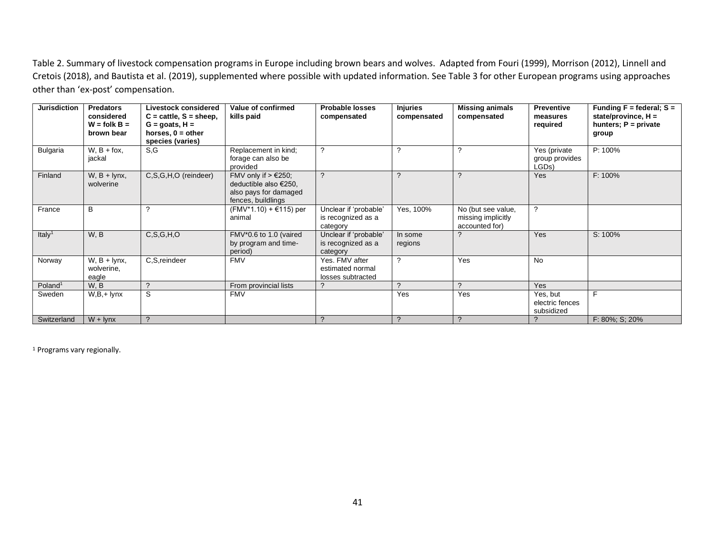Table 2. Summary of livestock compensation programs in Europe including brown bears and wolves. Adapted from Fouri (1999), Morrison (2012), Linnell and Cretois (2018), and Bautista et al. (2019), supplemented where possible with updated information. See Table 3 for other European programs using approaches other than 'ex-post' compensation.

| <b>Jurisdiction</b> | <b>Predators</b><br>considered<br>$W =$ folk $B =$<br>brown bear | <b>Livestock considered</b><br>$C = \text{cattle}, S = \text{sheep},$<br>$G =$ goats, $H =$<br>horses, $0 =$ other<br>species (varies) | Value of confirmed<br>kills paid                                                                       | <b>Probable losses</b><br>compensated                   | <b>Injuries</b><br>compensated | <b>Missing animals</b><br>compensated                      | <b>Preventive</b><br>measures<br>required | Funding $F =$ federal; $S =$<br>state/province, $H =$<br>hunters; $P = private$<br>group |
|---------------------|------------------------------------------------------------------|----------------------------------------------------------------------------------------------------------------------------------------|--------------------------------------------------------------------------------------------------------|---------------------------------------------------------|--------------------------------|------------------------------------------------------------|-------------------------------------------|------------------------------------------------------------------------------------------|
| Bulgaria            | $W$ , $B + f$ ox,<br>jackal                                      | S.G                                                                                                                                    | Replacement in kind;<br>forage can also be<br>provided                                                 | $\boldsymbol{\gamma}$                                   | ?                              | 2                                                          | Yes (private<br>group provides<br>LGDs)   | P: 100%                                                                                  |
| Finland             | $W, B + Iynx,$<br>wolverine                                      | C,S,G,H,O (reindeer)                                                                                                                   | FMV only if $> \text{\e}250$ ;<br>deductible also €250,<br>also pays for damaged<br>fences, buildlings | $\overline{\phantom{0}}$                                | $\boldsymbol{\gamma}$          | C                                                          | Yes                                       | $F: 100\%$                                                                               |
| France              | B                                                                |                                                                                                                                        | $(FMV*1.10) + \text{\textsterling}115)$ per<br>animal                                                  | Unclear if 'probable'<br>is recognized as a<br>category | Yes, 100%                      | No (but see value,<br>missing implicitly<br>accounted for) | っ                                         |                                                                                          |
| Italy <sup>1</sup>  | W, B                                                             | C, S, G, H, O                                                                                                                          | FMV*0.6 to 1.0 (vaired<br>by program and time-<br>period)                                              | Unclear if 'probable'<br>is recognized as a<br>category | In some<br>regions             |                                                            | Yes                                       | S: 100%                                                                                  |
| Norway              | $W$ , $B + lynx$ ,<br>wolverine,<br>eagle                        | C,S,reindeer                                                                                                                           | <b>FMV</b>                                                                                             | Yes. FMV after<br>estimated normal<br>losses subtracted | ?                              | Yes                                                        | <b>No</b>                                 |                                                                                          |
| Poland <sup>1</sup> | W, B                                                             | $\Omega$                                                                                                                               | From provincial lists                                                                                  | $\boldsymbol{\mathcal{P}}$                              | $\mathcal{L}$                  | $\Omega$                                                   | Yes                                       |                                                                                          |
| Sweden              | $W,B,+$ lynx                                                     | S                                                                                                                                      | <b>FMV</b>                                                                                             |                                                         | Yes                            | Yes                                                        | Yes, but<br>electric fences<br>subsidized | F                                                                                        |
| Switzerland         | $W + I$ lynx                                                     |                                                                                                                                        |                                                                                                        | C                                                       | $\mathcal{P}$                  |                                                            |                                           | F: 80%; S; 20%                                                                           |

<sup>1</sup> Programs vary regionally.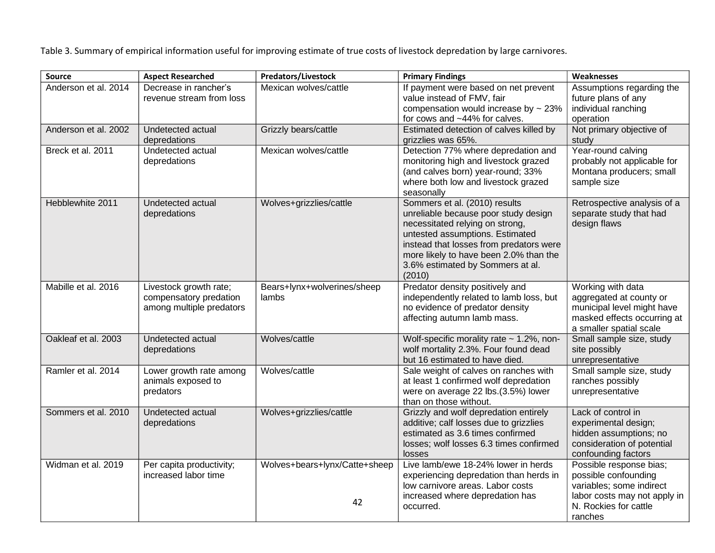Table 3. Summary of empirical information useful for improving estimate of true costs of livestock depredation by large carnivores.

| <b>Source</b>        | <b>Aspect Researched</b>                                                     | <b>Predators/Livestock</b>           | <b>Primary Findings</b>                                                                                                                                                                                                                                                        | Weaknesses                                                                                                                                      |  |  |
|----------------------|------------------------------------------------------------------------------|--------------------------------------|--------------------------------------------------------------------------------------------------------------------------------------------------------------------------------------------------------------------------------------------------------------------------------|-------------------------------------------------------------------------------------------------------------------------------------------------|--|--|
| Anderson et al. 2014 | Decrease in rancher's<br>revenue stream from loss                            | Mexican wolves/cattle                | If payment were based on net prevent<br>value instead of FMV, fair<br>compensation would increase by $\sim$ 23%<br>for cows and ~44% for calves.                                                                                                                               | Assumptions regarding the<br>future plans of any<br>individual ranching<br>operation                                                            |  |  |
| Anderson et al. 2002 | Undetected actual<br>depredations                                            | Grizzly bears/cattle                 | Estimated detection of calves killed by<br>grizzlies was 65%.                                                                                                                                                                                                                  | Not primary objective of<br>study                                                                                                               |  |  |
| Breck et al. 2011    | Undetected actual<br>depredations                                            | Mexican wolves/cattle                | Detection 77% where depredation and<br>monitoring high and livestock grazed<br>(and calves born) year-round; 33%<br>where both low and livestock grazed<br>seasonally                                                                                                          | Year-round calving<br>probably not applicable for<br>Montana producers; small<br>sample size                                                    |  |  |
| Hebblewhite 2011     | Undetected actual<br>depredations                                            | Wolves+grizzlies/cattle              | Sommers et al. (2010) results<br>unreliable because poor study design<br>necessitated relying on strong,<br>untested assumptions. Estimated<br>instead that losses from predators were<br>more likely to have been 2.0% than the<br>3.6% estimated by Sommers at al.<br>(2010) | Retrospective analysis of a<br>separate study that had<br>design flaws                                                                          |  |  |
| Mabille et al. 2016  | Livestock growth rate;<br>compensatory predation<br>among multiple predators | Bears+lynx+wolverines/sheep<br>lambs | Predator density positively and<br>independently related to lamb loss, but<br>no evidence of predator density<br>affecting autumn lamb mass.                                                                                                                                   | Working with data<br>aggregated at county or<br>municipal level might have<br>masked effects occurring at<br>a smaller spatial scale            |  |  |
| Oakleaf et al. 2003  | Undetected actual<br>depredations                                            | Wolves/cattle                        | Wolf-specific morality rate ~ 1.2%, non-<br>wolf mortality 2.3%. Four found dead<br>but 16 estimated to have died.                                                                                                                                                             | Small sample size, study<br>site possibly<br>unrepresentative                                                                                   |  |  |
| Ramler et al. 2014   | Lower growth rate among<br>animals exposed to<br>predators                   | Wolves/cattle                        | Sale weight of calves on ranches with<br>at least 1 confirmed wolf depredation<br>were on average 22 lbs.(3.5%) lower<br>than on those without.                                                                                                                                | Small sample size, study<br>ranches possibly<br>unrepresentative                                                                                |  |  |
| Sommers et al. 2010  | Undetected actual<br>depredations                                            | Wolves+grizzlies/cattle              | Grizzly and wolf depredation entirely<br>additive; calf losses due to grizzlies<br>estimated as 3.6 times confirmed<br>losses; wolf losses 6.3 times confirmed<br>losses                                                                                                       | Lack of control in<br>experimental design;<br>hidden assumptions; no<br>consideration of potential<br>confounding factors                       |  |  |
| Widman et al. 2019   | Per capita productivity;<br>increased labor time                             | Wolves+bears+lynx/Catte+sheep<br>42  | Live lamb/ewe 18-24% lower in herds<br>experiencing depredation than herds in<br>low carnivore areas. Labor costs<br>increased where depredation has<br>occurred.                                                                                                              | Possible response bias;<br>possible confounding<br>variables; some indirect<br>labor costs may not apply in<br>N. Rockies for cattle<br>ranches |  |  |